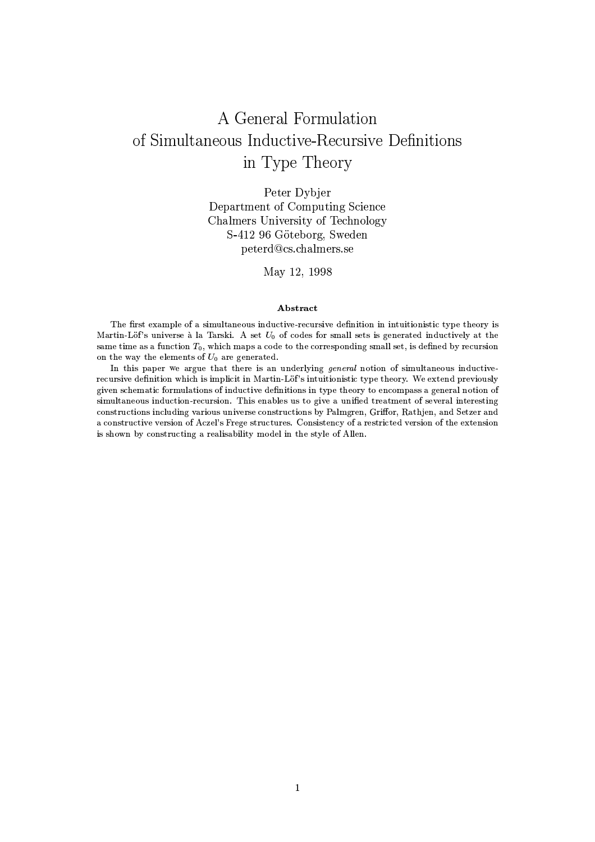# A General Formulation of Simultaneous Inductive-Recursive Definitions in Type Theory

Peter Dybjer Department of Computing Science Chalmers University of Technology S-412 96 Göteborg, Sweden peterd@cs.chalmers.se

May 12, 1998

### Abstract

The first example of a simultaneous inductive-recursive definition in intuitionistic type theory is Martin-Löf's universe à la Tarski. A set  $U_0$  of codes for small sets is generated inductively at the same time as a function  $T_0$ , which maps a code to the corresponding small set, is defined by recursion on the way the elements of  $U_0$  are generated.

In this paper we argue that there is an underlying general notion of simultaneous inductiverecursive definition which is implicit in Martin-Löf's intuitionistic type theory. We extend previously given schematic formulations of inductive definitions in type theory to encompass a general notion of simultaneous induction-recursion. This enables us to give a unified treatment of several interesting constructions including various universe constructions by Palmgren, Griffor, Rathjen, and Setzer and a constructive version of Aczel's Frege structures. Consistency of a restricted version of the extension is shown by constructing a realisability model in the style of Allen.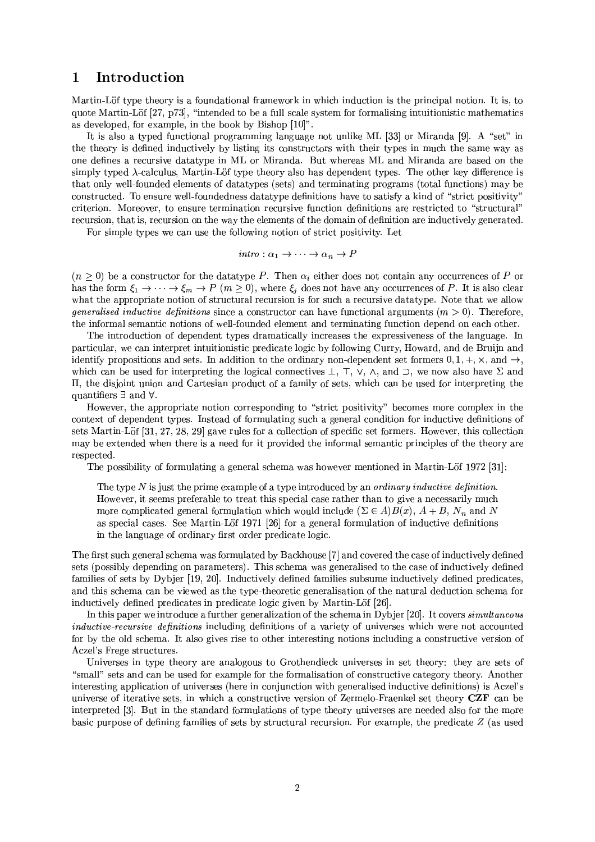#### Introduction  $\mathbf{1}$

Martin-Löf type theory is a foundational framework in which induction is the principal notion. It is, to quote Martin-Löf [27, p73], "intended to be a full scale system for formalising intuitionistic mathematics as developed, for example, in the book by Bishop [10]".

It is also a typed functional programming language not unlike ML [33] or Miranda [9]. A "set" in the theory is defined inductively by listing its constructors with their types in much the same way as one defines a recursive datatype in ML or Miranda. But whereas ML and Miranda are based on the simply typed  $\lambda$ -calculus, Martin-Löf type theory also has dependent types. The other key difference is that only well-founded elements of datatypes (sets) and terminating programs (total functions) may be constructed. To ensure well-foundedness data type definitions have to satisfy a kind of "strict positivity" criterion. Moreover, to ensure termination recursive function definitions are restricted to "structural" recursion, that is, recursion on the way the elements of the domain of definition are inductively generated.

For simple types we can use the following notion of strict positivity. Let

$$
intro: \alpha_1 \rightarrow \cdots \rightarrow \alpha_n \rightarrow P
$$

 $(n \geq 0)$  be a constructor for the data type P. Then  $\alpha_i$  either does not contain any occurrences of P or has the form  $\xi_1 \to \cdots \to \xi_m \to P$   $(m \ge 0)$ , where  $\xi_i$  does not have any occurrences of P. It is also clear what the appropriate notion of structural recursion is for such a recursive datatype. Note that we allow *generalised inductive definitions* since a constructor can have functional arguments  $(m > 0)$ . Therefore, the informal semantic notions of well-founded element and terminating function depend on each other.

The introduction of dependent types dramatically increases the expressiveness of the language. In particular, we can interpret intuitionistic predicate logic by following Curry, Howard, and de Bruijn and identify propositions and sets. In addition to the ordinary non-dependent set formers  $0, 1, +, \times$ , and  $\rightarrow$ , which can be used for interpreting the logical connectives  $\bot$ ,  $\top$ ,  $\vee$ ,  $\wedge$ , and  $\supset$ , we now also have  $\Sigma$  and II, the disjoint union and Cartesian product of a family of sets, which can be used for interpreting the quantifiers  $\exists$  and  $\forall$ .

However, the appropriate notion corresponding to "strict positivity" becomes more complex in the context of dependent types. Instead of formulating such a general condition for inductive definitions of sets Martin-Löf [31, 27, 28, 29] gave rules for a collection of specific set formers. However, this collection may be extended when there is a need for it provided the informal semantic principles of the theory are respected.

The possibility of formulating a general schema was however mentioned in Martin-Löf 1972 [31]:

The type  $N$  is just the prime example of a type introduced by an *ordinary inductive definition*. However, it seems preferable to treat this special case rather than to give a necessarily much more complicated general formulation which would include  $(\Sigma \in A)B(x)$ ,  $A + B$ ,  $N_n$  and N as special cases. See Martin-Löf 1971 [26] for a general formulation of inductive definitions in the language of ordinary first order predicate logic.

The first such general schema was formulated by Backhouse [7] and covered the case of inductively defined sets (possibly depending on parameters). This schema was generalised to the case of inductively defined families of sets by Dybjer [19, 20]. Inductively defined families subsume inductively defined predicates, and this schema can be viewed as the type-theoretic generalisation of the natural deduction schema for inductively defined predicates in predicate logic given by Martin-Löf [26].

In this paper we introduce a further generalization of the schema in Dybjer [20]. It covers simultaneous *inductive-recursive definitions* including definitions of a variety of universes which were not accounted for by the old schema. It also gives rise to other interesting notions including a constructive version of Aczel's Frege structures.

Universes in type theory are analogous to Grothendieck universes in set theory: they are sets of "small" sets and can be used for example for the formalisation of constructive category theory. Another interesting application of universes (here in conjunction with generalised inductive definitions) is Aczel's universe of iterative sets, in which a constructive version of Zermelo-Fraenkel set theory CZF can be interpreted [3]. But in the standard formulations of type theory universes are needed also for the more basic purpose of defining families of sets by structural recursion. For example, the predicate  $Z$  (as used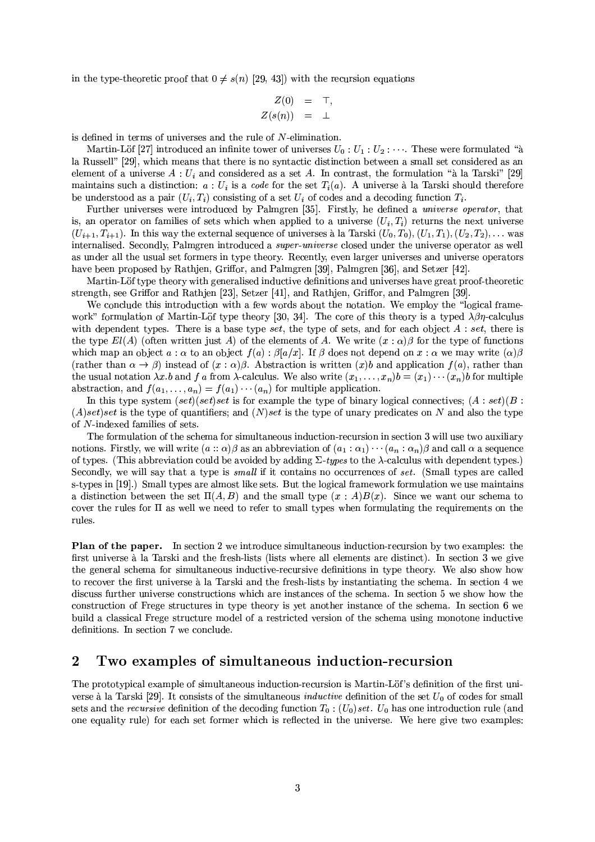in the type-theoretic proof that  $0 \neq s(n)$  [29, 43]) with the recursion equations

$$
Z(0) = \top,
$$
  

$$
Z(s(n)) = \bot
$$

is defined in terms of universes and the rule of  $N$ -elimination.

Martin-Löf [27] introduced an infinite tower of universes  $U_0: U_1: U_2: \cdots$ . These were formulated "à la Russell" [29], which means that there is no syntactic distinction between a small set considered as an element of a universe  $A: U_i$  and considered as a set A. In contrast, the formulation "à la Tarski" [29] maintains such a distinction:  $a: U_i$  is a code for the set  $T_i(a)$ . A universe à la Tarski should therefore be understood as a pair  $(U_i, T_i)$  consisting of a set  $U_i$  of codes and a decoding function  $T_i$ .

Further universes were introduced by Palmgren [35]. Firstly, he defined a *universe operator*, that is, an operator on families of sets which when applied to a universe  $(U_i, T_i)$  returns the next universe  $(U_{i+1}, T_{i+1})$ . In this way the external sequence of universes à la Tarski  $(U_0, T_0), (U_1, T_1), (U_2, T_2), \ldots$  was internalised. Secondly, Palmgren introduced a super-universe closed under the universe operator as well as under all the usual set formers in type theory. Recently, even larger universes and universe operators have been proposed by Rathien, Griffor, and Palmeren [39], Palmeren [36], and Setzer [42].

Martin-Löf type theory with generalised inductive definitions and universes have great proof-theoretic strength, see Griffor and Rathjen [23], Setzer [41], and Rathjen, Griffor, and Palmgren [39].

We conclude this introduction with a few words about the notation. We employ the "logical framework" formulation of Martin-Löf type theory [30, 34]. The core of this theory is a typed  $\lambda\beta\eta$ -calculus with dependent types. There is a base type set, the type of sets, and for each object  $A: set$ , there is the type  $El(A)$  (often written just A) of the elements of A. We write  $(x : \alpha)\beta$  for the type of functions which map an object  $a : \alpha$  to an object  $f(a) : \beta[a/x]$ . If  $\beta$  does not depend on  $x : \alpha$  we may write  $(\alpha)\beta$ (rather than  $\alpha \to \beta$ ) instead of  $(x:\alpha)\beta$ . Abstraction is written  $(x)b$  and application  $f(a)$ , rather than the usual notation  $\lambda x.b$  and f a from  $\lambda$ -calculus. We also write  $(x_1, \ldots, x_n)b = (x_1) \cdots (x_n)b$  for multiple abstraction, and  $f(a_1, \ldots, a_n) = f(a_1) \cdots (a_n)$  for multiple application.

In this type system  $(set) (set) set$  is for example the type of binary logical connectives;  $(A : set) (B : set)$  $(A) set$  is the type of quantifiers; and  $(N) set$  is the type of unary predicates on N and also the type of  $N$ -indexed families of sets.

The formulation of the schema for simultaneous induction-recursion in section 3 will use two auxiliary notions. Firstly, we will write  $(a: \alpha)\beta$  as an abbreviation of  $(a_1: \alpha_1)\cdots(a_n: \alpha_n)\beta$  and call  $\alpha$  a sequence of types. (This abbreviation could be avoided by adding  $\Sigma$ -types to the  $\lambda$ -calculus with dependent types.) Secondly, we will say that a type is small if it contains no occurrences of set. (Small types are called s-types in [19].) Small types are almost like sets. But the logical framework formulation we use maintains a distinction between the set  $\Pi(A, B)$  and the small type  $(x : A)B(x)$ . Since we want our schema to cover the rules for  $\Pi$  as well we need to refer to small types when formulating the requirements on the rules.

**Plan of the paper.** In section 2 we introduce simultaneous induction-recursion by two examples: the first universe à la Tarski and the fresh-lists (lists where all elements are distinct). In section 3 we give the general schema for simultaneous inductive-recursive definitions in type theory. We also show how to recover the first universe à la Tarski and the fresh-lists by instantiating the schema. In section 4 we discuss further universe constructions which are instances of the schema. In section 5 we show how the construction of Frege structures in type theory is yet another instance of the schema. In section 6 we build a classical Frege structure model of a restricted version of the schema using monotone inductive definitions. In section 7 we conclude.

#### $\overline{2}$ Two examples of simultaneous induction-recursion

The prototypical example of simultaneous induction-recursion is Martin-Löf's definition of the first universe à la Tarski [29]. It consists of the simultaneous *inductive* definition of the set  $U_0$  of codes for small sets and the *recursive* definition of the decoding function  $T_0$ :  $(U_0)$  set.  $U_0$  has one introduction rule (and one equality rule) for each set former which is reflected in the universe. We here give two examples: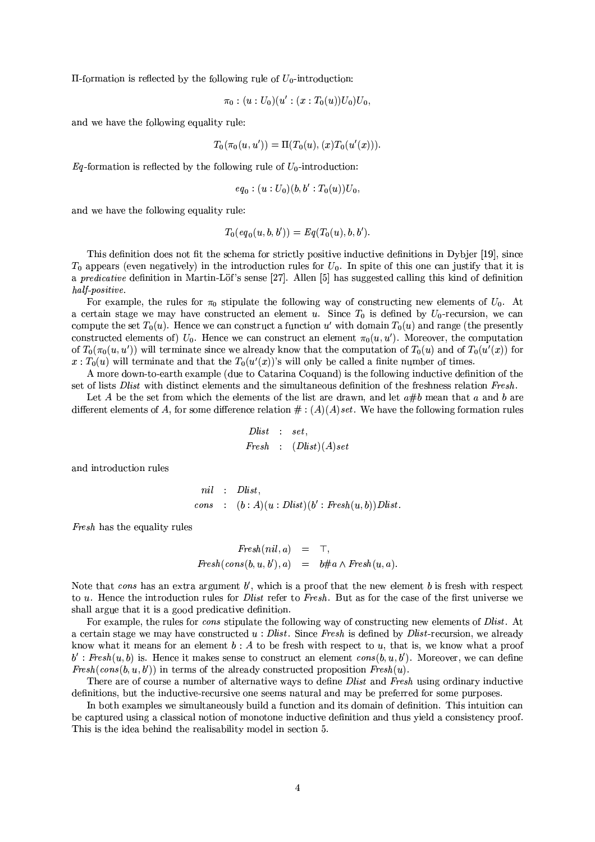$\Pi$ -formation is reflected by the following rule of  $U_0$ -introduction:

$$
\pi_0:(u:U_0)(u':(x:T_0(u))U_0)U_0,
$$

and we have the following equality rule:

$$
T_0(\pi_0(u, u')) = \Pi(T_0(u), (x)T_0(u'(x))).
$$

 $Eq$ -formation is reflected by the following rule of  $U_0$ -introduction:

$$
eq_0
$$
:  $(u:U_0)(b, b':T_0(u))U_0$ 

and we have the following equality rule:

$$
T_0(eq_0(u,b,b')) = Eq(T_0(u),b,b').
$$

This definition does not fit the schema for strictly positive inductive definitions in Dybjer [19], since  $T_0$  appears (even negatively) in the introduction rules for  $U_0$ . In spite of this one can justify that it is a predicative definition in Martin-Löf's sense [27]. Allen [5] has suggested calling this kind of definition half-positive.

For example, the rules for  $\pi_0$  stipulate the following way of constructing new elements of  $U_0$ . At a certain stage we may have constructed an element u. Since  $T_0$  is defined by  $U_0$ -recursion, we can compute the set  $T_0(u)$ . Hence we can construct a function u' with domain  $T_0(u)$  and range (the presently constructed elements of)  $U_0$ . Hence we can construct an element  $\pi_0(u, u')$ . Moreover, the computation of  $T_0(\pi_0(u, u'))$  will terminate since we already know that the computation of  $T_0(u)$  and of  $T_0(u'(x))$  for  $x: T_0(u)$  will terminate and that the  $T_0(u'(x))$ 's will only be called a finite number of times.

A more down-to-earth example (due to Catarina Coquand) is the following inductive definition of the set of lists *Dlist* with distinct elements and the simultaneous definition of the freshness relation *Fresh*.

Let A be the set from which the elements of the list are drawn, and let  $a\#b$  mean that a and b are different elements of A, for some difference relation  $\#$ :  $(A)(A)$  set. We have the following formation rules

$$
Dlist : set,
$$
  

$$
Fresh : (Dlist)(A)set
$$

and introduction rules

$$
nil : Dlist,
$$
  
cons : (b : A)(u : Dlist)(b' : Fresh(u, b))Dlist.

*Fresh* has the equality rules

$$
Fresh(nil, a) = \top,
$$
  

$$
Fresh(cons(b, u, b'), a) = b \# a \land Fresh(u, a).
$$

Note that cons has an extra argument  $b'$ , which is a proof that the new element b is fresh with respect to u. Hence the introduction rules for *Dlist* refer to Fresh. But as for the case of the first universe we shall argue that it is a good predicative definition.

For example, the rules for cons stipulate the following way of constructing new elements of Dlist. At a certain stage we may have constructed  $u : Dlist.$  Since Fresh is defined by  $Dlist$ -recursion, we already know what it means for an element  $b: A$  to be fresh with respect to u, that is, we know what a proof  $b'$ : Fresh $(u, b)$  is. Hence it makes sense to construct an element  $cons(b, u, b')$ . Moreover, we can define  $Fresh(cons(b, u, b'))$  in terms of the already constructed proposition  $Fresh(u)$ .

There are of course a number of alternative ways to define *Dlist* and *Fresh* using ordinary inductive definitions, but the inductive-recursive one seems natural and may be preferred for some purposes.

In both examples we simultaneously build a function and its domain of definition. This intuition can be captured using a classical notion of monotone inductive definition and thus yield a consistency proof. This is the idea behind the realisability model in section 5.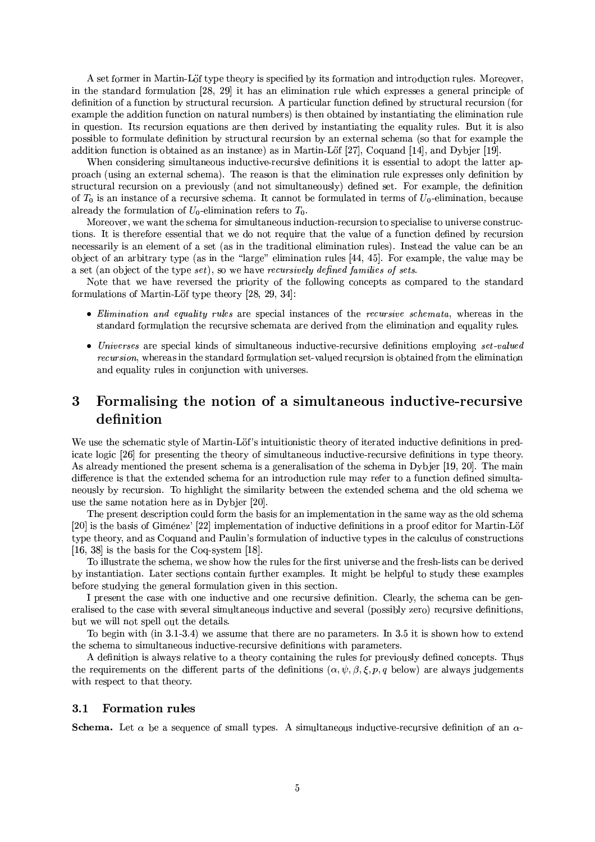A set former in Martin-Löf type theory is specified by its formation and introduction rules. Moreover, in the standard formulation [28, 29] it has an elimination rule which expresses a general principle of definition of a function by structural recursion. A particular function defined by structural recursion (for example the addition function on natural numbers) is then obtained by instantiating the elimination rule in question. Its recursion equations are then derived by instantiating the equality rules. But it is also possible to formulate definition by structural recursion by an external schema (so that for example the addition function is obtained as an instance) as in Martin-Löf  $[27]$ , Coquand  $[14]$ , and Dybjer  $[19]$ .

When considering simultaneous inductive-recursive definitions it is essential to adopt the latter approach (using an external schema). The reason is that the elimination rule expresses only definition by structural recursion on a previously (and not simultaneously) defined set. For example, the definition of  $T_0$  is an instance of a recursive schema. It cannot be formulated in terms of  $U_0$ -elimination, because already the formulation of  $U_0$ -elimination refers to  $T_0$ .

Moreover, we want the schema for simultaneous induction-recursion to specialise to universe constructions. It is therefore essential that we do not require that the value of a function defined by recursion necessarily is an element of a set (as in the traditional elimination rules). Instead the value can be an object of an arbitrary type (as in the "large" elimination rules [44, 45]. For example, the value may be a set (an object of the type set), so we have recursively defined families of sets.

Note that we have reversed the priority of the following concepts as compared to the standard formulations of Martin-Löf type theory  $[28, 29, 34]$ :

- Elimination and equality rules are special instances of the recursive schemata, whereas in the standard formulation the recursive schemata are derived from the elimination and equality rules.
- Universes are special kinds of simultaneous inductive-recursive definitions employing set-valued recursion, whereas in the standard formulation set-valued recursion is obtained from the elimination and equality rules in conjunction with universes.

### 3 Formalising the notion of a simultaneous inductive-recursive definition

We use the schematic style of Martin-Löf's intuitionistic theory of iterated inductive definitions in predicate logic [26] for presenting the theory of simultaneous inductive-recursive definitions in type theory. As already mentioned the present schema is a generalisation of the schema in Dybjer [19, 20]. The main difference is that the extended schema for an introduction rule may refer to a function defined simultaneously by recursion. To highlight the similarity between the extended schema and the old schema we use the same notation here as in Dybier [20].

The present description could form the basis for an implementation in the same way as the old schema [20] is the basis of Giménez' [22] implementation of inductive definitions in a proof editor for Martin-Löf type theory, and as Coquand and Paulin's formulation of inductive types in the calculus of constructions [16, 38] is the basis for the Coq-system [18].

To illustrate the schema, we show how the rules for the first universe and the fresh-lists can be derived by instantiation. Later sections contain further examples. It might be helpful to study these examples before studying the general formulation given in this section.

I present the case with one inductive and one recursive definition. Clearly, the schema can be generalised to the case with several simultaneous inductive and several (possibly zero) recursive definitions, but we will not spell out the details.

To begin with (in 3.1-3.4) we assume that there are no parameters. In 3.5 it is shown how to extend the schema to simultaneous inductive-recursive definitions with parameters.

A definition is always relative to a theory containing the rules for previously defined concepts. Thus the requirements on the different parts of the definitions  $(\alpha, \psi, \beta, \xi, p, q)$  below) are always judgements with respect to that theory.

#### **Formation rules**  $3.1$

**Schema.** Let  $\alpha$  be a sequence of small types. A simultaneous inductive-recursive definition of an  $\alpha$ -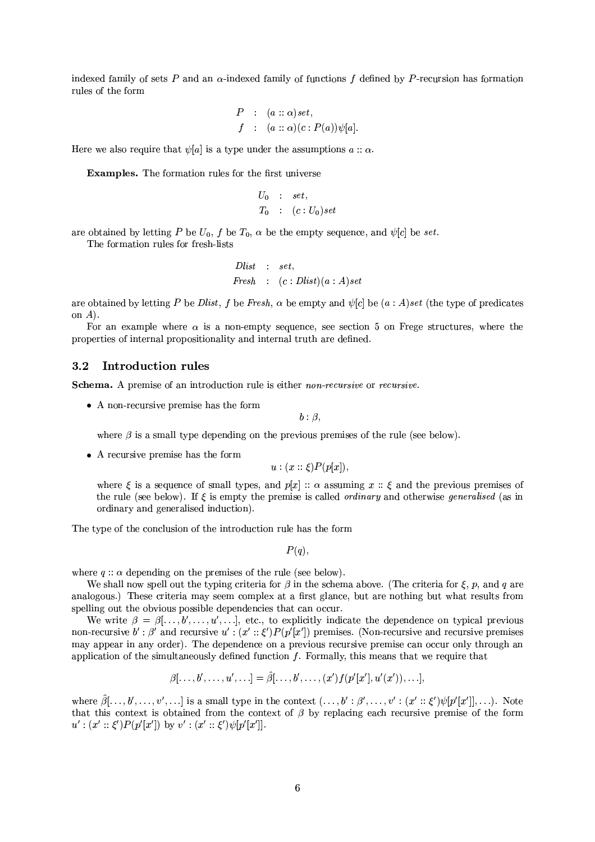indexed family of sets P and an  $\alpha$ -indexed family of functions f defined by P-recursion has formation rules of the form

$$
P : (a :: \alpha) set,f : (a :: \alpha)(c : P(a))\psi[a].
$$

Here we also require that  $\psi[a]$  is a type under the assumptions  $a : \alpha$ .

**Examples.** The formation rules for the first universe

$$
U_0 : set,
$$
  

$$
T_0 : (c:U_0)set
$$

are obtained by letting P be  $U_0$ , f be  $T_0$ ,  $\alpha$  be the empty sequence, and  $\psi[c]$  be set.

The formation rules for fresh-lists

$$
Dlist : set,
$$
  
Freeh : (c : Dlist)(a : A)set

are obtained by letting P be Dlist, f be Fresh,  $\alpha$  be empty and  $\psi[c]$  be  $(a : A)$ set (the type of predicates on  $A$ ).

For an example where  $\alpha$  is a non-empty sequence, see section 5 on Frege structures, where the properties of internal propositionality and internal truth are defined.

#### **Introduction rules**  $3.2$

Schema. A premise of an introduction rule is either non-recursive or recursive.

 $\bullet$  A non-recursive premise has the form

 $b: \beta$ ,

where  $\beta$  is a small type depending on the previous premises of the rule (see below).

 $\bullet$  A recursive premise has the form

$$
u:(x::\xi)P(p[x]),
$$

where  $\xi$  is a sequence of small types, and  $p[x]$ :  $\alpha$  assuming  $x : \xi$  and the previous premises of the rule (see below). If  $\xi$  is empty the premise is called *ordinary* and otherwise *generalised* (as in ordinary and generalised induction).

The type of the conclusion of the introduction rule has the form

 $P(q)$ ,

where  $q$ :  $\alpha$  depending on the premises of the rule (see below).

We shall now spell out the typing criteria for  $\beta$  in the schema above. (The criteria for  $\xi$ , p, and q are analogous.) These criteria may seem complex at a first glance, but are nothing but what results from spelling out the obvious possible dependencies that can occur.

We write  $\beta = \beta[\ldots, b', \ldots, u', \ldots]$ , etc., to explicitly indicate the dependence on typical previous non-recursive  $b' : \beta'$  and recursive  $u' : (x' : \xi')P(p'|x')$  premises. (Non-recursive and recursive premises may appear in any order). The dependence on a previous recursive premise can occur only through an application of the simultaneously defined function  $f$ . Formally, this means that we require that

$$
\beta[\ldots, b', \ldots, u', \ldots] = \hat{\beta}[\ldots, b', \ldots, (x')f(p'[x'], u'(x')), \ldots],
$$

where  $\hat{\beta}[\ldots, b', \ldots, v', \ldots]$  is a small type in the context  $(\ldots, b': \beta', \ldots, v': (x'': \xi')\psi[p'[x']], \ldots)$ . Note that this context is obtained from the context of  $\beta$  by replacing each recursive premise of the form  $u': (x' :: \xi')P(p'[x'])$  by  $v': (x' :: \xi')\psi[p'[x']].$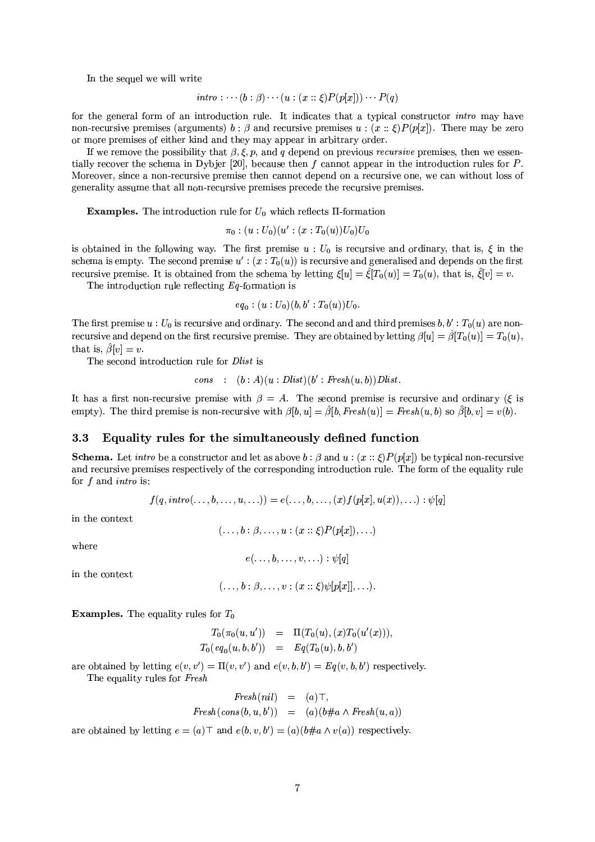In the sequel we will write

$$
\mathit{intro}:\cdots (b:\beta)\cdots (u:(x::\xi)P(p[x]))\cdots P(q)
$$

for the general form of an introduction rule. It indicates that a typical constructor *intro* may have non-recursive premises (arguments)  $b : \beta$  and recursive premises  $u : (x :: \xi)P(p[x])$ . There may be zero or more premises of either kind and they may appear in arbitrary order.

If we remove the possibility that  $\beta, \xi, p$ , and q depend on previous *recursive* premises, then we essentially recover the schema in Dybjer [20], because then  $f$  cannot appear in the introduction rules for  $P$ . Moreover, since a non-recursive premise then cannot depend on a recursive one, we can without loss of generality assume that all non-recursive premises precede the recursive premises.

**Examples.** The introduction rule for  $U_0$  which reflects  $\Pi$ -formation

$$
\pi_0
$$
:  $(u:U_0)(u':(x:T_0(u))U_0)U_0$ 

is obtained in the following way. The first premise  $u: U_0$  is recursive and ordinary, that is,  $\xi$  in the schema is empty. The second premise  $u'$ :  $(x : T_0(u))$  is recursive and generalised and depends on the first recursive premise. It is obtained from the schema by letting  $\xi[u] = \hat{\xi}[T_0(u)] = T_0(u)$ , that is,  $\hat{\xi}[v] = v$ .

The introduction rule reflecting  $Eq$ -formation is

$$
eq_0: (u:U_0)(b,b':T_0(u))U_0
$$

The first premise  $u: U_0$  is recursive and ordinary. The second and and third premises  $b, b': T_0(u)$  are nonrecursive and depend on the first recursive premise. They are obtained by letting  $\beta[u] = \hat{\beta}[T_0(u)] = T_0(u)$ , that is,  $\hat{\beta}[v] = v$ .

The second introduction rule for Dlist is

$$
cons : (b : A)(u : Dlist)(b' : Fresh(u, b))Dlist.
$$

It has a first non-recursive premise with  $\beta = A$ . The second premise is recursive and ordinary ( $\xi$  is empty). The third premise is non-recursive with  $\beta[b, u] = \hat{\beta}[b, \text{Fresh}(u)] = \text{Fresh}(u, b)$  so  $\hat{\beta}[b, v] = v(b)$ .

#### $3.3$ Equality rules for the simultaneously defined function

**Schema.** Let *intro* be a constructor and let as above  $b : \beta$  and  $u : (x :: \xi)P(p[x])$  be typical non-recursive and recursive premises respectively of the corresponding introduction rule. The form of the equality rule for  $f$  and *intro* is:

$$
f(q, \textit{intro}(\ldots, b, \ldots, u, \ldots)) = e(\ldots, b, \ldots, (x) f(p[x], u(x)), \ldots) : \psi[q]
$$

in the context

$$
(\ldots, b : \beta, \ldots, u : (x :: \xi) P(p[x]), \ldots)
$$

where

$$
e(\ldots,b,\ldots,v,\ldots):\psi[q]
$$

in the context

$$
(\ldots, b : \beta, \ldots, v : (x :: \xi)\psi[p[x]], \ldots).
$$

**Examples.** The equality rules for  $T_0$ 

 $T_0(\pi_0(u, u')) = \Pi(T_0(u), (x)T_0(u'(x))),$  $T_0(eq_0(u, b, b')) = Eq(T_0(u), b, b')$ 

are obtained by letting  $e(v, v') = \Pi(v, v')$  and  $e(v, b, b') = Eq(v, b, b')$  respectively. The equality rules for Fresh

$$
Fresh(nil) = (a) \top,
$$
  
\n
$$
Fresh(\cos(b, u, b')) = (a)(b \# a \land Fresh(u, a))
$$

are obtained by letting  $e = (a) \top$  and  $e(b, v, b') = (a)(b \# a \wedge v(a))$  respectively.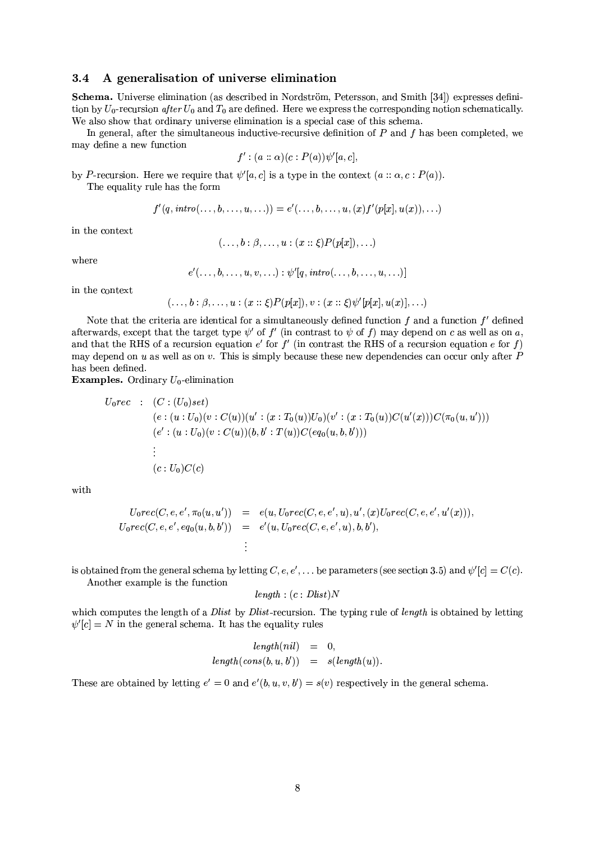#### $3.4$ A generalisation of universe elimination

Schema. Universe elimination (as described in Nordström, Petersson, and Smith [34]) expresses definition by  $U_0$ -recursion after  $U_0$  and  $T_0$  are defined. Here we express the corresponding notion schematically. We also show that ordinary universe elimination is a special case of this schema.

In general, after the simultaneous inductive-recursive definition of  $P$  and  $f$  has been completed, we may define a new function

$$
f':(a::\alpha)(c:P(a))\psi'[a,c],
$$

by P-recursion. Here we require that  $\psi'[a, c]$  is a type in the context  $(a :: \alpha, c : P(a))$ . The equality rule has the form

$$
f'(q, \textit{intro}(\ldots, b, \ldots, u, \ldots)) = e'(\ldots, b, \ldots, u, (x) f'(p[x], u(x)), \ldots)
$$

in the context

$$
(\ldots, b : \beta, \ldots, u : (x : : \xi) P(p[x]), \ldots)
$$

where

$$
e'(\ldots, b, \ldots, u, v, \ldots) : \psi'[q, \text{intro}(\ldots, b, \ldots, u, \ldots)]
$$

in the context

$$
(\ldots, b : \beta, \ldots, u : (x :: \xi) P(p[x]), v : (x :: \xi) \psi'[p[x], u(x)], \ldots)
$$

Note that the criteria are identical for a simultaneously defined function  $f$  and a function  $f'$  defined afterwards, except that the target type  $\psi'$  of f' (in contrast to  $\psi$  of f) may depend on c as well as on a, and that the RHS of a recursion equation  $e'$  for  $f'$  (in contrast the RHS of a recursion equation e for f) may depend on u as well as on v. This is simply because these new dependencies can occur only after  $P$ has been defined.

**Examples.** Ordinary  $U_0$ -elimination

$$
U_0rec : (C : (U_0)set)
$$
  
\n
$$
(e : (u : U_0)(v : C(u))(u' : (x : T_0(u))U_0)(v' : (x : T_0(u))C(u'(x)))C(\pi_0(u, u')))
$$
  
\n
$$
(e' : (u : U_0)(v : C(u))(b, b' : T(u))C(eq_0(u, b, b')))
$$
  
\n
$$
\vdots
$$
  
\n
$$
(c : U_0)C(c)
$$

with

$$
U_0rec(C, e, e', \pi_0(u, u')) = e(u, U_0rec(C, e, e', u), u', (x)U_0rec(C, e, e', u'(x))),
$$
  
\n
$$
U_0rec(C, e, e', eq_0(u, b, b')) = e'(u, U_0rec(C, e, e', u), b, b'),
$$
  
\n
$$
\vdots
$$

is obtained from the general schema by letting  $C, e, e', \dots$  be parameters (see section 3.5) and  $\psi'[c] = C(c)$ .

Another example is the function

$$
length: (c: Dlist)N
$$

which computes the length of a *Dlist* by *Dlist*-recursion. The typing rule of *length* is obtained by letting  $\psi'[c] = N$  in the general schema. It has the equality rules

$$
length(nil) = 0,
$$
  

$$
length(cons(b, u, b')) = s(length(u)).
$$

These are obtained by letting  $e' = 0$  and  $e'(b, u, v, b') = s(v)$  respectively in the general schema.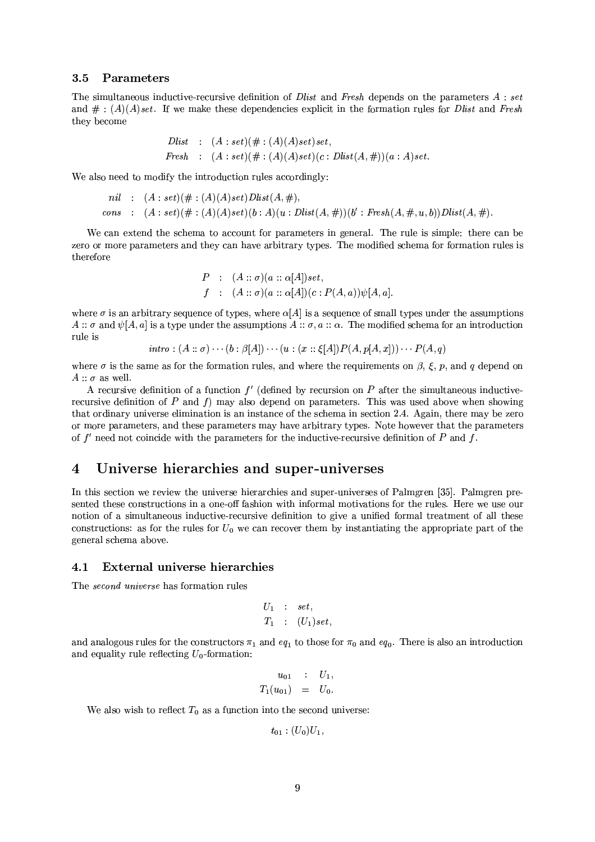#### 3.5 Parameters

The simultaneous inductive-recursive definition of *Dlist* and *Fresh* depends on the parameters  $A : set$ and  $\#$ :  $(A)(A)$  set. If we make these dependencies explicit in the formation rules for *Dlist* and *Fresh* they become

$$
Dlist : (A : set)(\# : (A)(A)set)set,
$$
  
\n
$$
Fresh : (A : set)(\# : (A)(A)set)(c : Dlist(A, \#))(a : A)set.
$$

We also need to modify the introduction rules accordingly:

*nil* : 
$$
(A : set)(\# : (A)(A)set)Dlist(A, \#),
$$
  
*cons* :  $(A : set)(\# : (A)(A)set)(b : A)(u : Dist(A, \#))(b' : Fresh(A, \#, u, b))Dlist(A, \#).$ 

We can extend the schema to account for parameters in general. The rule is simple: there can be zero or more parameters and they can have arbitrary types. The modified schema for formation rules is therefore

$$
P : (A :: \sigma)(a :: \alpha[A])set,f : (A :: \sigma)(a :: \alpha[A])(c : P(A, a))\psi[A, a].
$$

where  $\sigma$  is an arbitrary sequence of types, where  $\alpha[A]$  is a sequence of small types under the assumptions  $A::\sigma$  and  $\psi[A,a]$  is a type under the assumptions  $A::\sigma,a::\alpha$ . The modified schema for an introduction rule is

$$
intro:(A::\sigma)\cdots(b:\beta[A])\cdots(u:(x::\xi[A])P(A,p[A,x]))\cdots P(A,q)
$$

where  $\sigma$  is the same as for the formation rules, and where the requirements on  $\beta$ ,  $\xi$ ,  $p$ , and  $q$  depend on  $A :: \sigma$  as well.

A recursive definition of a function  $f'$  (defined by recursion on P after the simultaneous inductiverecursive definition of  $P$  and  $f$ ) may also depend on parameters. This was used above when showing that ordinary universe elimination is an instance of the schema in section 2.4. Again, there may be zero or more parameters, and these parameters may have arbitrary types. Note however that the parameters of  $f'$  need not coincide with the parameters for the inductive-recursive definition of P and f.

#### Universe hierarchies and super-universes  $\boldsymbol{4}$

In this section we review the universe hierarchies and super-universes of Palmgren [35]. Palmgren presented these constructions in a one-off fashion with informal motivations for the rules. Here we use our notion of a simultaneous inductive-recursive definition to give a unified formal treatment of all these constructions: as for the rules for  $U_0$  we can recover them by instantiating the appropriate part of the general schema above.

#### $4.1$ External universe hierarchies

The *second universe* has formation rules

$$
U_1 : set,
$$
  

$$
T_1 : (U_1) set,
$$

and analogous rules for the constructors  $\pi_1$  and  $eq_1$  to those for  $\pi_0$  and  $eq_0$ . There is also an introduction and equality rule reflecting  $U_0$ -formation:

$$
u_{01} : U_1,
$$
  

$$
T_1(u_{01}) = U_0.
$$

We also wish to reflect  $T_0$  as a function into the second universe:

$$
t_{01}: (U_0)U_1,
$$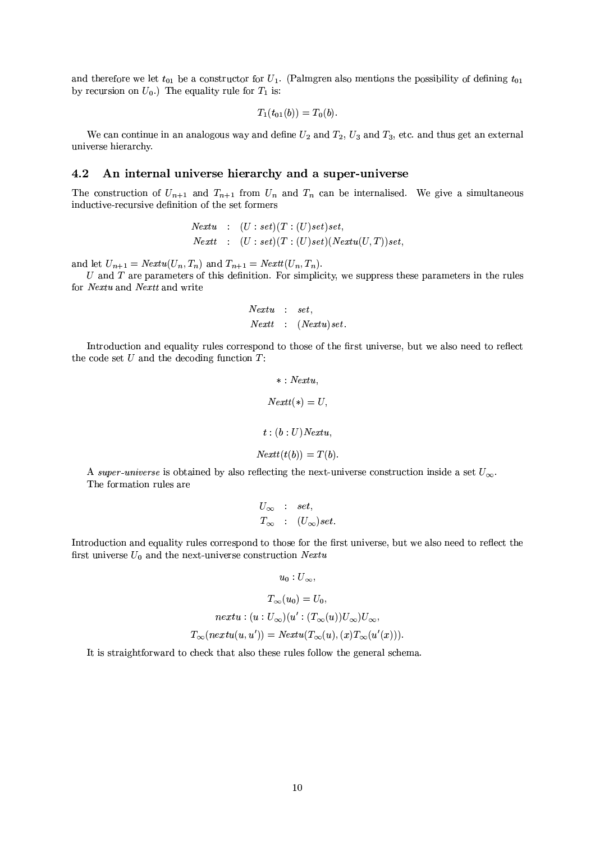and therefore we let  $t_{01}$  be a constructor for  $U_1$ . (Palmgren also mentions the possibility of defining  $t_{01}$ by recursion on  $U_0$ .) The equality rule for  $T_1$  is:

$$
T_1(t_{01}(b)) = T_0(b).
$$

We can continue in an analogous way and define  $U_2$  and  $T_2$ ,  $U_3$  and  $T_3$ , etc. and thus get an external universe hierarchy.

#### $4.2$ An internal universe hierarchy and a super-universe

The construction of  $U_{n+1}$  and  $T_{n+1}$  from  $U_n$  and  $T_n$  can be internalised. We give a simultaneous inductive-recursive definition of the set formers

$$
Nextu : (U : set)(T : (U) set) set,Next: (U : set)(T : (U) set)(Nextu(U, T)) set,
$$

and let  $U_{n+1} = Nextu(U_n, T_n)$  and  $T_{n+1} = NextU_n, T_n)$ .

 $U$  and  $T$  are parameters of this definition. For simplicity, we suppress these parameters in the rules for Nextu and Nextu and write

$$
\begin{array}{lcl} Nextu & : & set, \\ Nextt & : & (Nextu)set. \end{array}
$$

Introduction and equality rules correspond to those of the first universe, but we also need to reflect the code set  $U$  and the decoding function  $T$ :

$$
* : Nextu,
$$
  
\n
$$
Nextt(*) = U,
$$
  
\n
$$
t : (b : U) Nextu,
$$
  
\n
$$
Nextt(t(b)) = T(b).
$$

A super-universe is obtained by also reflecting the next-universe construction inside a set  $U_{\infty}$ . The formation rules are

$$
U_{\infty} : set,
$$
  

$$
T_{\infty} : (U_{\infty})set.
$$

Introduction and equality rules correspond to those for the first universe, but we also need to reflect the first universe  $U_0$  and the next-universe construction Nextu

$$
u_0:U_{\infty},
$$

$$
T_{\infty}(u_0) = U_0,
$$
  
nextu :  $(u : U_{\infty})(u' : (T_{\infty}(u))U_{\infty})U_{\infty},$   

$$
T_{\infty}(nextu(u, u')) = Nextu(T_{\infty}(u), (x)T_{\infty}(u'(x))).
$$

It is straightforward to check that also these rules follow the general schema.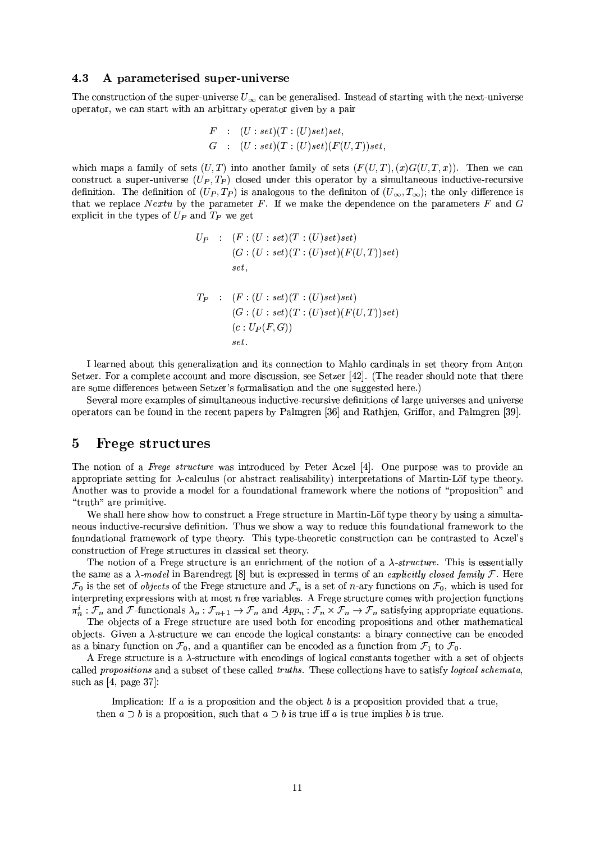#### 4.3 A parameterised super-universe

The construction of the super-universe  $U_{\infty}$  can be generalised. Instead of starting with the next-universe operator, we can start with an arbitrary operator given by a pair

$$
F : (U : set)(T : (U) set) set,G : (U : set)(T : (U) set)(F(U, T)) set
$$

which maps a family of sets  $(U,T)$  into another family of sets  $(F(U,T),(x)G(U,T,x))$ . Then we can construct a super-universe  $(U_P, T_P)$  closed under this operator by a simultaneous inductive-recursive definition. The definition of  $(U_P, T_P)$  is analogous to the definition of  $(U_{\infty}, T_{\infty})$ ; the only difference is that we replace Nextu by the parameter F. If we make the dependence on the parameters  $F$  and  $G$ explicit in the types of  $U_P$  and  $T_P$  we get

$$
U_P \quad : \quad (F:(U:set)(T:(U)set)set) \newline (G:(U:set)(T:(U)set)(F(U,T))set) \newline set, \newline \newline T_P \quad : \quad (F:(U:set)(T:(U)set)set) \newline (G:(U:set)(T:(U)set)(F(U,T))set) \newline (c:U_P(F,G)) \newline set.
$$

I learned about this generalization and its connection to Mahlo cardinals in set theory from Anton Setzer. For a complete account and more discussion, see Setzer [42]. (The reader should note that there are some differences between Setzer's formalisation and the one suggested here.)

Several more examples of simultaneous inductive-recursive definitions of large universes and universe operators can be found in the recent papers by Palmgren [36] and Rathjen, Griffor, and Palmgren [39].

#### $\overline{5}$ **Frege structures**

The notion of a Freque structure was introduced by Peter Aczel [4]. One purpose was to provide an appropriate setting for  $\lambda$ -calculus (or abstract realisability) interpretations of Martin-Löf type theory. Another was to provide a model for a foundational framework where the notions of "proposition" and "truth" are primitive.

We shall here show how to construct a Frege structure in Martin-Löf type theory by using a simultaneous inductive-recursive definition. Thus we show a way to reduce this foundational framework to the foundational framework of type theory. This type-theoretic construction can be contrasted to Aczel's construction of Frege structures in classical set theory.

The notion of a Frege structure is an enrichment of the notion of a  $\lambda$ -structure. This is essentially the same as a  $\lambda$ -model in Barendregt [8] but is expressed in terms of an *explicitly closed family*  $\mathcal F$ . Here  $\mathcal{F}_0$  is the set of *objects* of the Frege structure and  $\mathcal{F}_n$  is a set of *n*-ary functions on  $\mathcal{F}_0$ , which is used for interpreting expressions with at most  $n$  free variables. A Frege structure comes with projection functions  $\pi_n^i : \mathcal{F}_n$  and  $\mathcal{F}\text{-functionals } \lambda_n : \mathcal{F}_{n+1} \to \mathcal{F}_n$  and  $App_n : \mathcal{F}_n \times \mathcal{F}_n \to \mathcal{F}_n$  satisfying appropriate equations.

The objects of a Frege structure are used both for encoding propositions and other mathematical objects. Given a  $\lambda$ -structure we can encode the logical constants: a binary connective can be encoded as a binary function on  $\mathcal{F}_0$ , and a quantifier can be encoded as a function from  $\mathcal{F}_1$  to  $\mathcal{F}_0$ .

A Frege structure is a  $\lambda$ -structure with encodings of logical constants together with a set of objects called *propositions* and a subset of these called *truths*. These collections have to satisfy *logical schemata*, such as  $[4, \text{ page } 37]$ :

Implication: If  $a$  is a proposition and the object  $b$  is a proposition provided that  $a$  true, then  $a \supset b$  is a proposition, such that  $a \supset b$  is true iff a is true implies b is true.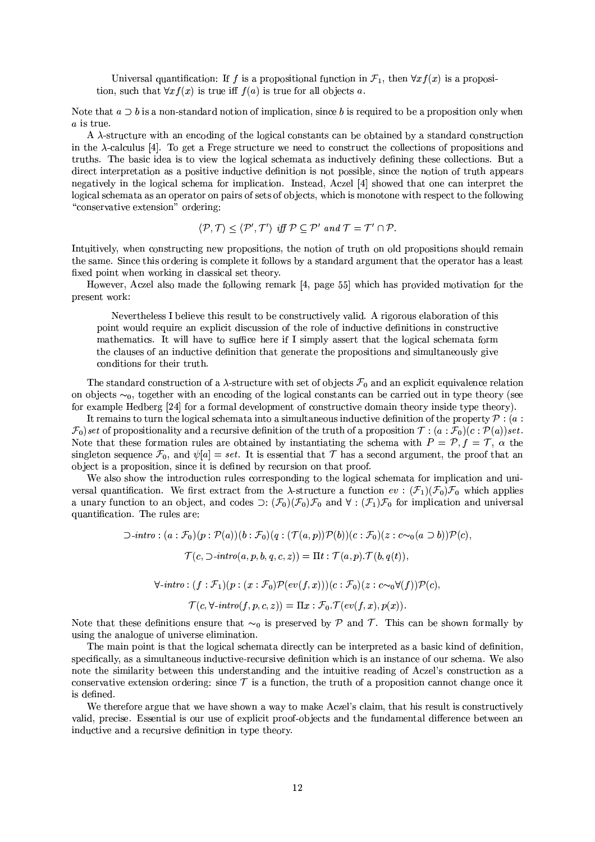Universal quantification: If f is a propositional function in  $\mathcal{F}_1$ , then  $\forall x f(x)$  is a proposition, such that  $\forall x f(x)$  is true iff  $f(a)$  is true for all objects a.

Note that  $a \supset b$  is a non-standard notion of implication, since b is required to be a proposition only when  $a$  is true.

A  $\lambda$ -structure with an encoding of the logical constants can be obtained by a standard construction in the  $\lambda$ -calculus [4]. To get a Frege structure we need to construct the collections of propositions and truths. The basic idea is to view the logical schemata as inductively defining these collections. But a direct interpretation as a positive inductive definition is not possible, since the notion of truth appears negatively in the logical schema for implication. Instead, Aczel [4] showed that one can interpret the logical schemata as an operator on pairs of sets of objects, which is monotone with respect to the following "conservative extension" ordering:

$$
\langle \mathcal{P}, \mathcal{T} \rangle \leq \langle \mathcal{P}', \mathcal{T}' \rangle \text{ iff } \mathcal{P} \subseteq \mathcal{P}' \text{ and } \mathcal{T} = \mathcal{T}' \cap \mathcal{P}.
$$

Intuitively, when constructing new propositions, the notion of truth on old propositions should remain the same. Since this ordering is complete it follows by a standard argument that the operator has a least fixed point when working in classical set theory.

However, Aczel also made the following remark [4, page 55] which has provided motivation for the present work:

Nevertheless I believe this result to be constructively valid. A rigorous elaboration of this point would require an explicit discussion of the role of inductive definitions in constructive mathematics. It will have to suffice here if I simply assert that the logical schemata form the clauses of an inductive definition that generate the propositions and simultaneously give conditions for their truth.

The standard construction of a  $\lambda$ -structure with set of objects  $\mathcal{F}_0$  and an explicit equivalence relation on objects  $\sim_0$ , together with an encoding of the logical constants can be carried out in type theory (see for example Hedberg [24] for a formal development of constructive domain theory inside type theory).

It remains to turn the logical schemata into a simultaneous inductive definition of the property  $P_i(a)$ :  $\mathcal{F}_0$ ) set of propositionality and a recursive definition of the truth of a proposition  $\mathcal{T}$ :  $(a : \mathcal{F}_0)(c : \mathcal{P}(a))$  set. Note that these formation rules are obtained by instantiating the schema with  $P = P$ ,  $f = T$ ,  $\alpha$  the singleton sequence  $\mathcal{F}_0$ , and  $\psi[a] = set$ . It is essential that T has a second argument, the proof that an object is a proposition, since it is defined by recursion on that proof.

We also show the introduction rules corresponding to the logical schemata for implication and universal quantification. We first extract from the  $\lambda$ -structure a function  $ev : (\mathcal{F}_1)(\mathcal{F}_0)\mathcal{F}_0$  which applies a unary function to an object, and codes  $\supset: (\mathcal{F}_0)(\mathcal{F}_0)\mathcal{F}_0$  and  $\forall: (\mathcal{F}_1)\mathcal{F}_0$  for implication and universal quantification. The rules are:

$$
\bigcirc\text{-}intro: (a: \mathcal{F}_0)(p: \mathcal{P}(a))(b: \mathcal{F}_0)(q: (\mathcal{T}(a, p))\mathcal{P}(b))(c: \mathcal{F}_0)(z: c \sim_0 (a \supset b))\mathcal{P}(c),
$$

$$
\mathcal{T}(c, \supset\text{-}intro(a, p, b, q, c, z)) = \Pi t: \mathcal{T}(a, p).\mathcal{T}(b, q(t)),
$$

 $\forall \text{-}intro: (f: \mathcal{F}_1)(p: (x: \mathcal{F}_0)\mathcal{P}(ev(f, x)))(c: \mathcal{F}_0)(z: c \sim_0 \forall (f)) \mathcal{P}(c),$ 

$$
\mathcal{T}(c, \forall\text{-}intro(f, p, c, z)) = \Pi x : \mathcal{F}_0 \cdot \mathcal{T}(ev(f, x), p(x))
$$

Note that these definitions ensure that  $\sim_0$  is preserved by P and T. This can be shown formally by using the analogue of universe elimination.

The main point is that the logical schemata directly can be interpreted as a basic kind of definition, specifically, as a simultaneous inductive-recursive definition which is an instance of our schema. We also note the similarity between this understanding and the intuitive reading of Aczel's construction as a conservative extension ordering: since  $\mathcal T$  is a function, the truth of a proposition cannot change once it is defined.

We therefore argue that we have shown a way to make Aczel's claim, that his result is constructively valid, precise. Essential is our use of explicit proof-objects and the fundamental difference between an inductive and a recursive definition in type theory.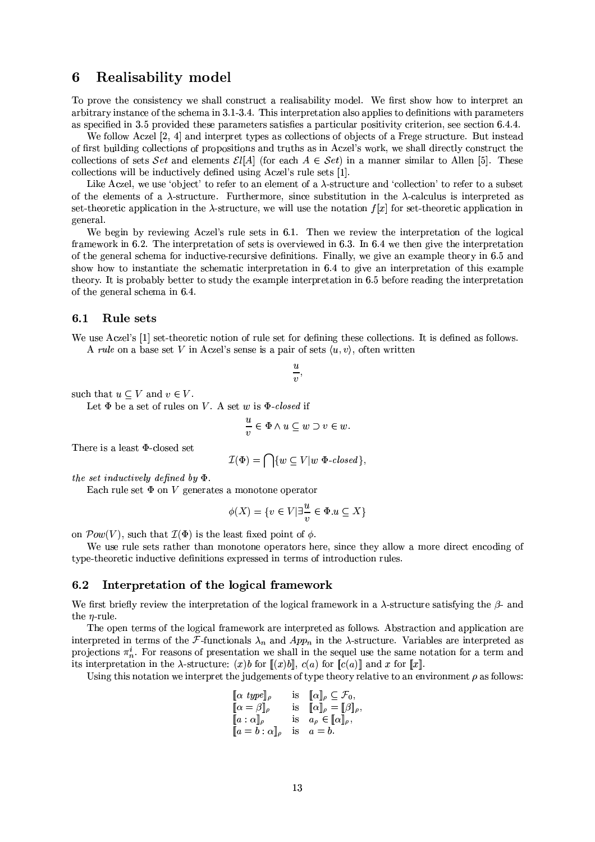#### **Realisability model** 6

To prove the consistency we shall construct a realisability model. We first show how to interpret an arbitrary instance of the schema in 3.1-3.4. This interpretation also applies to definitions with parameters as specified in 3.5 provided these parameters satisfies a particular positivity criterion, see section 6.4.4.

We follow Aczel [2, 4] and interpret types as collections of objects of a Frege structure. But instead of first building collections of propositions and truths as in Aczel's work, we shall directly construct the collections of sets Set and elements  $\mathcal{E}l[A]$  (for each  $A \in \mathcal{S}et$ ) in a manner similar to Allen [5]. These collections will be inductively defined using Aczel's rule sets [1].

Like Aczel, we use 'object' to refer to an element of a  $\lambda$ -structure and 'collection' to refer to a subset of the elements of a  $\lambda$ -structure. Furthermore, since substitution in the  $\lambda$ -calculus is interpreted as set-theoretic application in the  $\lambda$ -structure, we will use the notation  $f[x]$  for set-theoretic application in general.

We begin by reviewing Aczel's rule sets in 6.1. Then we review the interpretation of the logical framework in 6.2. The interpretation of sets is overviewed in 6.3. In 6.4 we then give the interpretation of the general schema for inductive-recursive definitions. Finally, we give an example theory in 6.5 and show how to instantiate the schematic interpretation in 6.4 to give an interpretation of this example theory. It is probably better to study the example interpretation in 6.5 before reading the interpretation of the general schema in 6.4.

#### Rule sets  $6.1$

We use Aczel's [1] set-theoretic notion of rule set for defining these collections. It is defined as follows. A rule on a base set V in Aczel's sense is a pair of sets  $\langle u, v \rangle$ , often written

$$
\begin{array}{c}\n\vdots \\
\vdots \\
\vdots\n\end{array}
$$

such that  $u \subseteq V$  and  $v \in V$ .

Let  $\Phi$  be a set of rules on V. A set w is  $\Phi$ -closed if

$$
\frac{u}{v} \in \Phi \land u \subseteq w \supset v \in w.
$$

There is a least  $\Phi$ -closed set

$$
\mathcal{I}(\Phi) = \bigcap \{w \subseteq V | w \Phi \text{-closed}\},
$$

the set inductively defined by  $\Phi$ 

Each rule set  $\Phi$  on V generates a monotone operator

$$
\phi(X) = \{ v \in V | \exists \frac{u}{v} \in \Phi. u \subseteq X \}
$$

on  $\mathcal{P}ow(V)$ , such that  $\mathcal{I}(\Phi)$  is the least fixed point of  $\phi$ .

We use rule sets rather than monotone operators here, since they allow a more direct encoding of type-theoretic inductive definitions expressed in terms of introduction rules.

#### Interpretation of the logical framework  $6.2$

We first briefly review the interpretation of the logical framework in a  $\lambda$ -structure satisfying the  $\beta$ - and the  $\eta$ -rule.

The open terms of the logical framework are interpreted as follows. Abstraction and application are interpreted in terms of the F-functionals  $\lambda_n$  and App<sub>n</sub> in the  $\lambda$ -structure. Variables are interpreted as projections  $\pi_n^i$ . For reasons of presentation we shall in the sequel use the same notation for a term and its interpretation in the  $\lambda$ -structure: (x)b for  $\llbracket (x)b \rrbracket$ ,  $c(a)$  for  $\llbracket c(a) \rrbracket$  and x for  $\llbracket x \rrbracket$ .

Using this notation we interpret the judgements of type theory relative to an environment  $\rho$  as follows:

$$
\begin{array}{llll}\n[\alpha \text{ type}]_{\rho} & \text{is} & \[\alpha\]_{\rho} \subseteq \mathcal{F}_0, \\
[\alpha = \beta\]_{\rho} & \text{is} & \[\alpha\]_{\rho} = [\beta\]_{\rho}, \\
[a : \alpha]_{\rho} & \text{is} & a_{\rho} \in [\![\alpha\]_{\rho}, \\
[a = b : \alpha\]_{\rho} & \text{is} & a = b.\n\end{array}
$$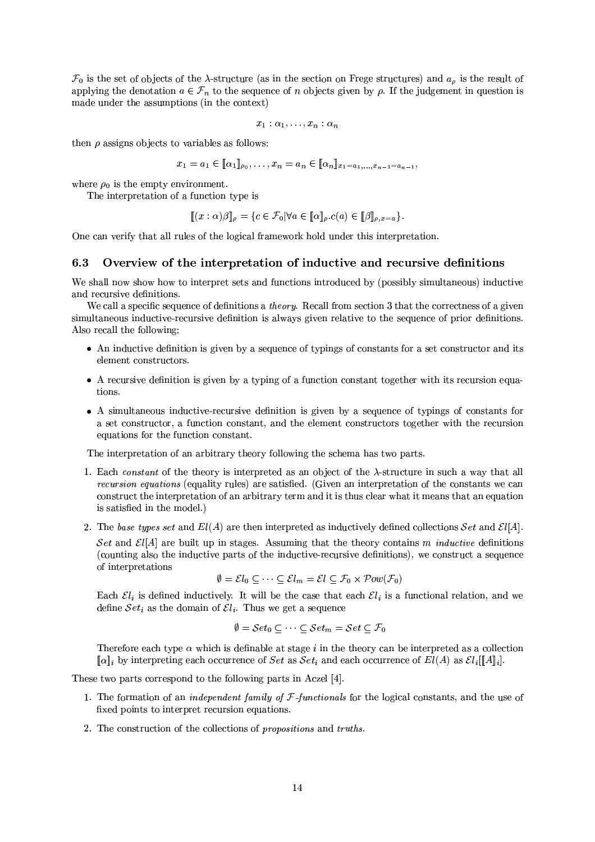$\mathcal{F}_0$  is the set of objects of the  $\lambda$ -structure (as in the section on Frege structures) and  $a_\rho$  is the result of applying the denotation  $a \in \mathcal{F}_n$  to the sequence of *n* objects given by  $\rho$ . If the judgement in question is made under the assumptions (in the context)

$$
x_1:\alpha_1,\ldots,x_n:\alpha_n
$$

then  $\rho$  assigns objects to variables as follows:

$$
x_1 = a_1 \in [\![\alpha_1]\!]_{\rho_0}, \ldots, x_n = a_n \in [\![\alpha_n]\!]_{x_1 = a_1, \ldots, x_{n-1} = a_{n-1}},
$$

where  $\rho_0$  is the empty environment.

The interpretation of a function type is

$$
[\![ (x : \alpha)\beta ]\!]_\rho = \{c \in \mathcal{F}_0 \vert \forall a \in [\![ \alpha ]\!]_\rho.c(a) \in [\![ \beta ]\!]_{\rho,x=a} \}.
$$

One can verify that all rules of the logical framework hold under this interpretation.

#### Overview of the interpretation of inductive and recursive definitions 6.3

We shall now show how to interpret sets and functions introduced by (possibly simultaneous) inductive and recursive definitions.

We call a specific sequence of definitions a *theory*. Recall from section 3 that the correctness of a given simultaneous inductive-recursive definition is always given relative to the sequence of prior definitions. Also recall the following:

- An inductive definition is given by a sequence of typings of constants for a set constructor and its element constructors.
- A recursive definition is given by a typing of a function constant together with its recursion equations.
- A simultaneous inductive-recursive definition is given by a sequence of typings of constants for a set constructor, a function constant, and the element constructors together with the recursion equations for the function constant.

The interpretation of an arbitrary theory following the schema has two parts.

- 1. Each constant of the theory is interpreted as an object of the  $\lambda$ -structure in such a way that all *recursion equations* (equality rules) are satisfied. (Given an interpretation of the constants we can construct the interpretation of an arbitrary term and it is thus clear what it means that an equation is satisfied in the model.)
- 2. The base types set and  $El(A)$  are then interpreted as inductively defined collections Set and  $El[A]$ .

Set and  $\mathcal{E}l[A]$  are built up in stages. Assuming that the theory contains m *inductive* definitions (counting also the inductive parts of the inductive-recursive definitions), we construct a sequence of interpretations

$$
\emptyset = \mathcal{E}l_0 \subseteq \cdots \subseteq \mathcal{E}l_m = \mathcal{E}l \subseteq \mathcal{F}_0 \times \mathcal{P}ow(\mathcal{F}_0)
$$

Each  $\mathcal{E}l_i$  is defined inductively. It will be the case that each  $\mathcal{E}l_i$  is a functional relation, and we define  $Set_i$  as the domain of  $El_i$ . Thus we get a sequence

$$
\emptyset = Set_0 \subset \cdots \subset Set_m = Set \subset \mathcal{F}_0
$$

Therefore each type  $\alpha$  which is definable at stage i in the theory can be interpreted as a collection  $\llbracket \alpha \rrbracket_i$  by interpreting each occurrence of Set as Set<sub>i</sub> and each occurrence of  $El(A)$  as  $El_i \llbracket A \rrbracket_i$ .

These two parts correspond to the following parts in Aczel [4].

- 1. The formation of an *independent family of*  $F$ *-functionals* for the logical constants, and the use of fixed points to interpret recursion equations.
- 2. The construction of the collections of *propositions* and *truths*.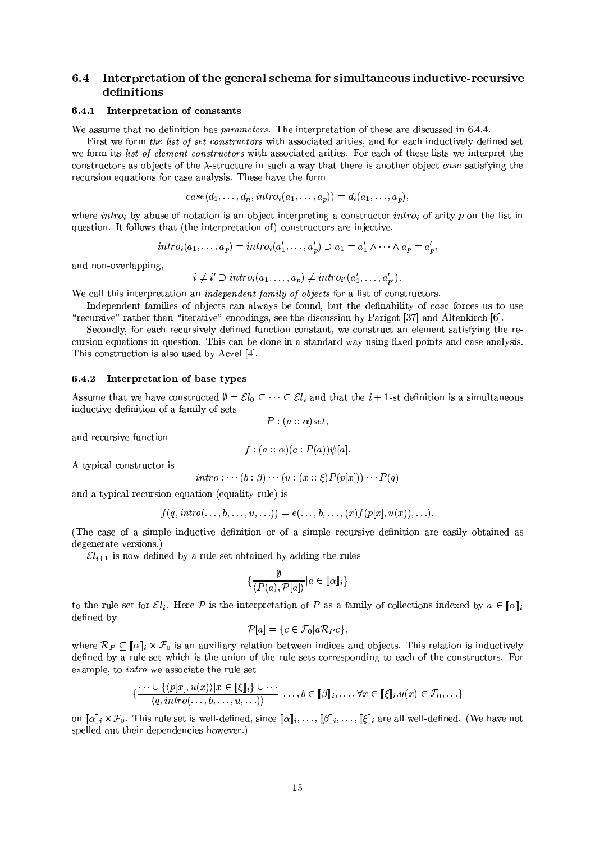### $6.4$ Interpretation of the general schema for simultaneous inductive-recursive definitions

### 6.4.1 Interpretation of constants

We assume that no definition has *parameters*. The interpretation of these are discussed in 6.4.4.

First we form the list of set constructors with associated arities, and for each inductively defined set we form its list of element constructors with associated arities. For each of these lists we interpret the constructors as objects of the  $\lambda$ -structure in such a way that there is another object case satisfying the recursion equations for case analysis. These have the form

$$
case(d_1, \ldots, d_n, intro_i(a_1, \ldots, a_p)) = d_i(a_1, \ldots, a_p),
$$

where  $intro_i$  by abuse of notation is an object interpreting a constructor  $intro_i$  of arity p on the list in question. It follows that (the interpretation of) constructors are injective,

$$
intro_i(a_1,\ldots,a_p)=intro_i(a'_1,\ldots,a'_p)\supset a_1=a'_1\wedge\cdots\wedge a_p=a'_p,
$$

and non-overlapping,

$$
i \neq i' \supset intro_i(a_1, \ldots, a_p) \neq intro_{i'}(a'_1, \ldots, a'_{p'}).
$$

We call this interpretation an *independent family of objects* for a list of constructors.

Independent families of objects can always be found, but the definability of case forces us to use "recursive" rather than "iterative" encodings, see the discussion by Parigot [37] and Altenkirch [6].

Secondly, for each recursively defined function constant, we construct an element satisfying the recursion equations in question. This can be done in a standard way using fixed points and case analysis. This construction is also used by Aczel [4].

### 6.4.2 Interpretation of base types

Assume that we have constructed  $\emptyset = \mathcal{E}l_0 \subseteq \cdots \subseteq \mathcal{E}l_i$  and that the  $i + 1$ -st definition is a simultaneous inductive definition of a family of sets

 $P:(a::\alpha)set,$ 

and recursive function

$$
f:(a::\alpha)(c:P(a))\psi[a].
$$

A typical constructor is

$$
intro: \cdots (b : \beta) \cdots (u : (x :: \xi) P(p[x])) \cdots P(q)
$$

and a typical recursion equation (equality rule) is

$$
f(q, \text{intro}(\ldots, b, \ldots, u, \ldots)) = e(\ldots, b, \ldots, (x) f(p[x], u(x)), \ldots)
$$

(The case of a simple inductive definition or of a simple recursive definition are easily obtained as degenerate versions.)

 $\mathcal{E}l_{i+1}$  is now defined by a rule set obtained by adding the rules

$$
\{\frac{\emptyset}{\langle P(a), P[a] \rangle} | a \in [\![\alpha]\!]_i\}
$$

to the rule set for  $\mathcal{E}l_i$ . Here P is the interpretation of P as a family of collections indexed by  $a \in [\![a]\!]_i$ defined by

$$
\mathcal{P}[a] = \{c \in \mathcal{F}_0 | a\mathcal{R}_P c\}
$$

where  $\mathcal{R}_P \subset [\![\alpha]\!]_i \times \mathcal{F}_0$  is an auxiliary relation between indices and objects. This relation is inductively defined by a rule set which is the union of the rule sets corresponding to each of the constructors. For example, to *intro* we associate the rule set

$$
\{\frac{\cdots\cup\{\langle p[x],u(x)\rangle|x\in\llbracket\xi\rrbracket_i\}\cup\cdots}{\langle q,\text{intro}(\ldots,b,\ldots,u,\ldots)\rangle}|\ldots,b\in\llbracket\beta\rrbracket_i,\ldots,\forall x\in\llbracket\xi\rrbracket_i.u(x)\in\mathcal{F}_0,\ldots\}
$$

on  $[\![\alpha]\!]_i \times \mathcal{F}_0$ . This rule set is well-defined, since  $[\![\alpha]\!]_i, \ldots, [\![\beta]\!]_i, \ldots, [\![\xi]\!]_i$  are all well-defined. (We have not spelled out their dependencies however.)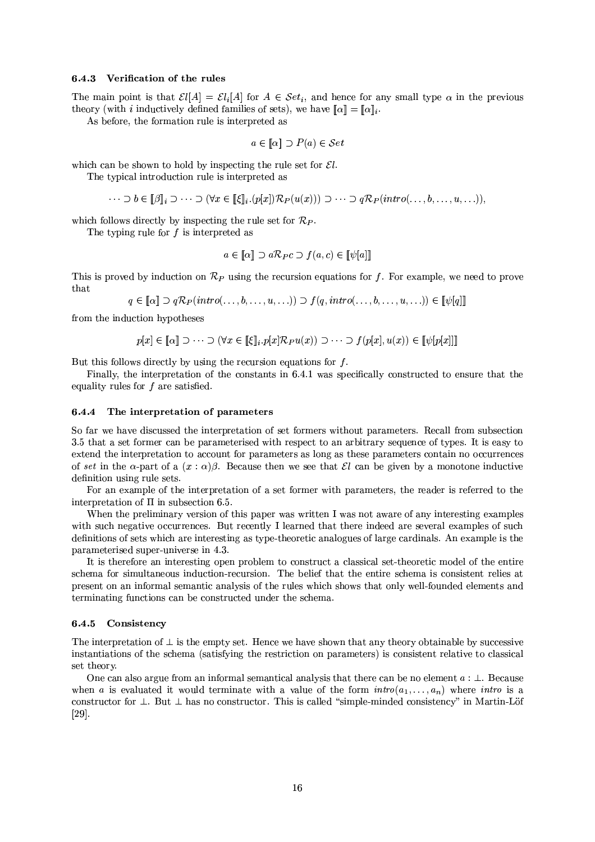### 6.4.3 Verification of the rules

The main point is that  $\mathcal{E}l[A] = \mathcal{E}l_i[A]$  for  $A \in \mathcal{S}et_i$ , and hence for any small type  $\alpha$  in the previous theory (with *i* inductively defined families of sets), we have  $\llbracket \alpha \rrbracket = \llbracket \alpha \rrbracket_i$ .

As before, the formation rule is interpreted as

$$
a \in [\![\alpha]\!] \supset P(a) \in \mathcal{S}et
$$

which can be shown to hold by inspecting the rule set for  $\mathcal{E}l$ .

The typical introduction rule is interpreted as

$$
\cdots \supset b \in [\beta]_i \supset \cdots \supset (\forall x \in [\![\xi]\!]_i \cdot (p[x]) \mathcal{R}_P(u(x))) \supset \cdots \supset q \mathcal{R}_P(intro(\ldots, b, \ldots, u, \ldots)),
$$

which follows directly by inspecting the rule set for  $\mathcal{R}_P$ .

The typing rule for  $f$  is interpreted as

$$
a \in [\![\alpha]\!] \supset a\mathcal{R}_P c \supset f(a,c) \in [\![\psi[\!]a]\!]
$$

This is proved by induction on  $\mathcal{R}_P$  using the recursion equations for f. For example, we need to prove that

 $q \in [\![\alpha]\!] \supset q\mathcal{R}_P(intro(\ldots, b, \ldots, u, \ldots)) \supset f(q, intro(\ldots, b, \ldots, u, \ldots)) \in [\![\psi][q]\!]$ 

from the induction hypotheses

$$
p[x] \in [\![\alpha]\!] \supset \cdots \supset (\forall x \in [\![\xi]\!]_i . p[x] \mathcal{R}_P u(x)) \supset \cdots \supset f(p[x], u(x)) \in [\![\psi[p[x]]]\!]
$$

But this follows directly by using the recursion equations for  $f$ .

Finally, the interpretation of the constants in 6.4.1 was specifically constructed to ensure that the equality rules for  $f$  are satisfied.

#### $6.4.4$ The interpretation of parameters

So far we have discussed the interpretation of set formers without parameters. Recall from subsection 3.5 that a set former can be parameterised with respect to an arbitrary sequence of types. It is easy to extend the interpretation to account for parameters as long as these parameters contain no occurrences of set in the  $\alpha$ -part of a  $(x : \alpha)\beta$ . Because then we see that El can be given by a monotone inductive definition using rule sets.

For an example of the interpretation of a set former with parameters, the reader is referred to the interpretation of  $\Pi$  in subsection 6.5.

When the preliminary version of this paper was written I was not aware of any interesting examples with such negative occurrences. But recently I learned that there indeed are several examples of such definitions of sets which are interesting as type-theoretic analogues of large cardinals. An example is the parameterised super-universe in 4.3.

It is therefore an interesting open problem to construct a classical set-theoretic model of the entire schema for simultaneous induction-recursion. The belief that the entire schema is consistent relies at present on an informal semantic analysis of the rules which shows that only well-founded elements and terminating functions can be constructed under the schema.

### 6.4.5 Consistency

The interpretation of  $\perp$  is the empty set. Hence we have shown that any theory obtainable by successive instantiations of the schema (satisfying the restriction on parameters) is consistent relative to classical set theory.

One can also argue from an informal semantical analysis that there can be no element  $a : \bot$ . Because when a is evaluated it would terminate with a value of the form  $intro(a_1, \ldots, a_n)$  where *intro* is a constructor for  $\perp$ . But  $\perp$  has no constructor. This is called "simple-minded consistency" in Martin-Löf  $[29]$ .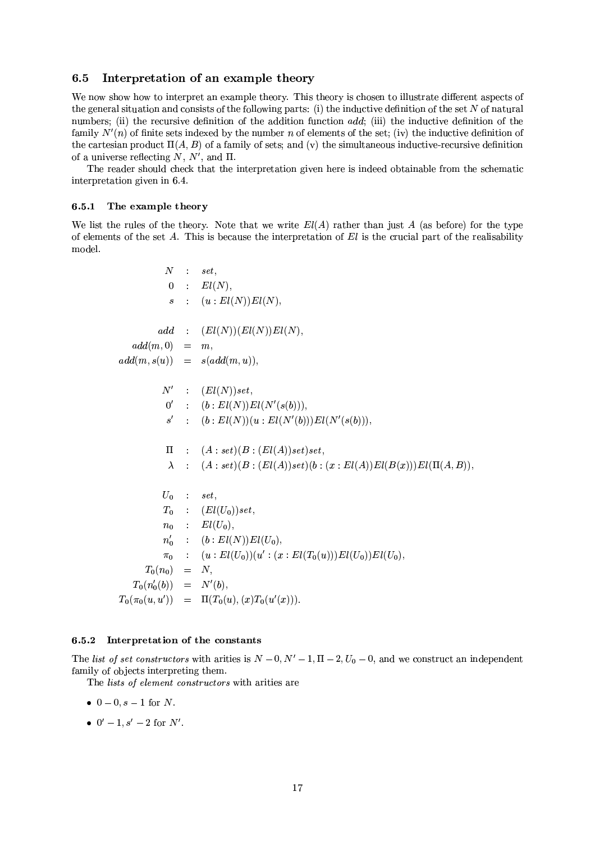#### 6.5 Interpretation of an example theory

We now show how to interpret an example theory. This theory is chosen to illustrate different aspects of the general situation and consists of the following parts: (i) the inductive definition of the set  $N$  of natural numbers; (ii) the recursive definition of the addition function add; (iii) the inductive definition of the family  $N'(n)$  of finite sets indexed by the number n of elements of the set; (iv) the inductive definition of the cartesian product  $\Pi(A, B)$  of a family of sets; and (v) the simultaneous inductive-recursive definition of a universe reflecting N,  $N'$ , and  $\Pi$ .

The reader should check that the interpretation given here is indeed obtainable from the schematic interpretation given in 6.4.

### 6.5.1 The example theory

We list the rules of the theory. Note that we write  $El(A)$  rather than just A (as before) for the type of elements of the set  $A$ . This is because the interpretation of  $El$  is the crucial part of the realisability model.

$$
N : set, \n0 : El(N), \ns : (u : El(N)) El(N), \nadd (m, 0) = m, \nadd(m, s(u)) = s(add(m, u)), \nN' : (El(N)) set, \n0' : (b : El(N)) El(N'(s(b))), \ns' : (b : El(N)) El(N'(s(b))), \ns' : (b : El(N)) (u : El(N'(b))) El(N'(s(b))), \n\Pi : (A : set) (B : (El(A)) set) set, \n\lambda : (A : set) (B : (El(A)) set) (b : (x : El(A)) El(B(x))) El(\Pi(A, B)), \nU_0 : set, \nT_0 : (El(U_0)) set, \nn_0 : El(U_0), \nn'_0 : (b : El(N)) El(U_0), \nT_0 : (u : El(U_0)) (u' : (x : El(T_0(u))) El(U_0)) El(U_0), \nT_0(n_0) = N, \nT_0(n'_0(b)) = N'(b), \nT_0(\pi_0(u, u')) = \Pi(T_0(u), (x) T_0(u'(x))).
$$

### 6.5.2 Interpretation of the constants

The list of set constructors with arities is  $N-0$ ,  $N'-1$ ,  $\Pi-2$ ,  $U_0-0$ , and we construct an independent family of objects interpreting them.

The lists of element constructors with arities are

- $0 0$ ,  $s 1$  for N.
- $0' 1$ ,  $s' 2$  for N'.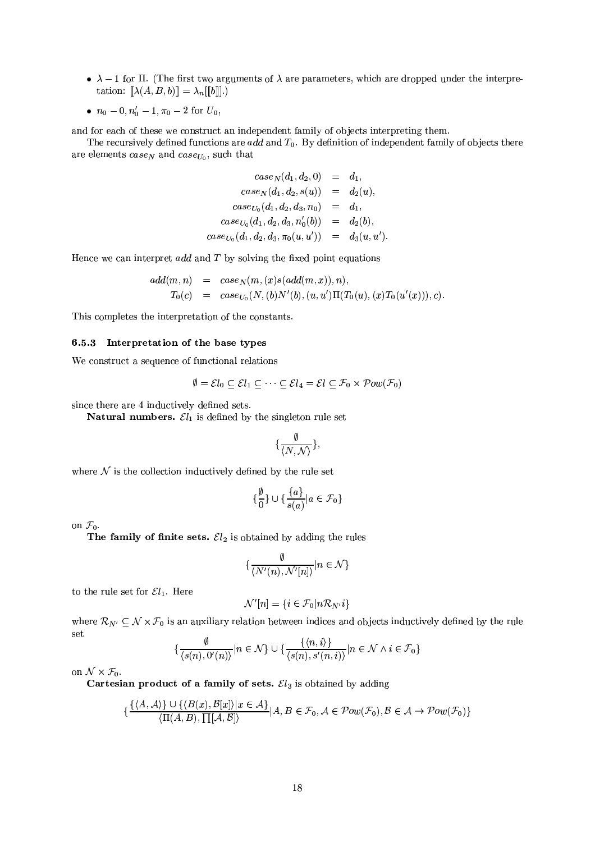- $\lambda 1$  for  $\Pi$ . (The first two arguments of  $\lambda$  are parameters, which are dropped under the interpretation:  $[\![\lambda(A, B, b)]\!] = \lambda_n[[b]]$ .)
- $n_0 0, n'_0 1, \pi_0 2$  for  $U_0$ ,

and for each of these we construct an independent family of objects interpreting them.

The recursively defined functions are *add* and  $T_0$ . By definition of independent family of objects there are elements  $case_N$  and  $case_{U_0}$ , such that

$$
case_N(d_1, d_2, 0) = d_1,
$$
  
\n
$$
case_N(d_1, d_2, s(u)) = d_2(u),
$$
  
\n
$$
case_{U_0}(d_1, d_2, d_3, n_0) = d_1,
$$
  
\n
$$
case_{U_0}(d_1, d_2, d_3, n'_0(b)) = d_2(b),
$$
  
\n
$$
case_{U_0}(d_1, d_2, d_3, \pi_0(u, u')) = d_3(u, u').
$$

Hence we can interpret *add* and  $T$  by solving the fixed point equations

$$
add(m, n) = case_N(m, (x)s(add(m, x)), n),
$$
  
\n
$$
T_0(c) = case_{U_0}(N, (b)N'(b), (u, u')\Pi(T_0(u), (x)T_0(u'(x))), c).
$$

This completes the interpretation of the constants.

### 6.5.3 Interpretation of the base types

We construct a sequence of functional relations

$$
\emptyset = \mathcal{E}l_0 \subseteq \mathcal{E}l_1 \subseteq \cdots \subseteq \mathcal{E}l_4 = \mathcal{E}l \subseteq \mathcal{F}_0 \times \mathcal{P}ow(\mathcal{F}_0)
$$

since there are 4 inductively defined sets.

**Natural numbers.**  $\mathcal{E}l_1$  is defined by the singleton rule set

$$
\{\frac{\emptyset}{\langle N, \mathcal{N}\rangle}\},
$$

where  $N$  is the collection inductively defined by the rule set

$$
\{\frac{\emptyset}{0}\}\cup\{\frac{\{a\}}{s(a)}|a\in\mathcal{F}_0\}
$$

on  $\mathcal{F}_0$ .

The family of finite sets.  $\mathcal{E}l_2$  is obtained by adding the rules

$$
\{\frac{\emptyset}{\langle N'(n), \mathcal{N}'[n]\rangle} | n \in \mathcal{N}\}
$$

to the rule set for  $\mathcal{E}l_1$ . Here

$$
\mathcal{N}'[n] = \{i \in \mathcal{F}_0|n\mathcal{R}_{N'}i\}
$$

where  $\mathcal{R}_{N'} \subseteq \mathcal{N} \times \mathcal{F}_0$  is an auxiliary relation between indices and objects inductively defined by the rule set

$$
\left\{\frac{\emptyset}{\langle s(n),0'(n)\rangle}|n\in\mathcal{N}\right\}\cup\left\{\frac{\{(n,i)\}}{\langle s(n),s'(n,i)\rangle}|n\in\mathcal{N}\land i\in\mathcal{F}_0\right\}
$$

on  $\mathcal{N} \times \mathcal{F}_0$ .

Cartesian product of a family of sets.  $\mathcal{E}l_3$  is obtained by adding

$$
\{\frac{\{\langle A,\mathcal{A}\rangle\}\cup\{\langle B(x),\mathcal{B}[x]\rangle|x\in\mathcal{A}\}}{\langle \Pi(A,B),\prod[\mathcal{A},\mathcal{B}]\rangle}|A,B\in\mathcal{F}_0,\mathcal{A}\in\mathcal{P}ow(\mathcal{F}_0),\mathcal{B}\in\mathcal{A}\rightarrow\mathcal{P}ow(\mathcal{F}_0)\}}
$$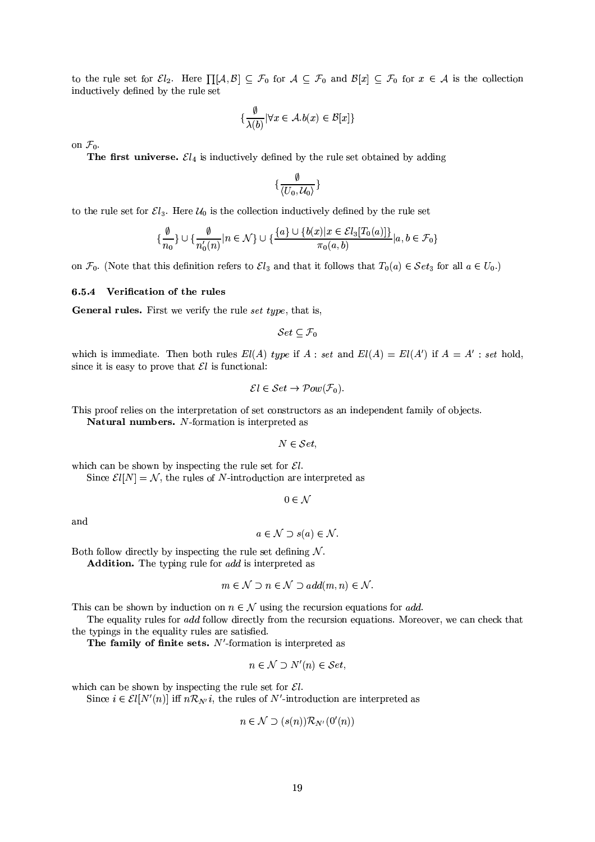to the rule set for  $\mathcal{E}l_2$ . Here  $\prod[\mathcal{A},\mathcal{B}] \subseteq \mathcal{F}_0$  for  $\mathcal{A} \subseteq \mathcal{F}_0$  and  $\mathcal{B}[x] \subseteq \mathcal{F}_0$  for  $x \in \mathcal{A}$  is the collection inductively defined by the rule set

$$
\{\frac{\emptyset}{\lambda(b)}|\forall x\in\mathcal{A}.b(x)\in\mathcal{B}[x]\}
$$

on  $\mathcal{F}_0$ .

The first universe.  $\mathcal{E}l_4$  is inductively defined by the rule set obtained by adding

$$
\{\frac{\emptyset}{\langle U_0, \mathcal{U}_0\rangle}\}
$$

to the rule set for  $\mathcal{E}l_3$ . Here  $\mathcal{U}_0$  is the collection inductively defined by the rule set

$$
\{\frac{\emptyset}{n_0}\} \cup \{\frac{\emptyset}{n'_0(n)} | n \in \mathcal{N}\} \cup \{\frac{\{a\} \cup \{b(x) | x \in \mathcal{E}l_3[T_0(a)]\}}{\pi_0(a, b)} | a, b \in \mathcal{F}_0\}
$$

on  $\mathcal{F}_0$ . (Note that this definition refers to  $\mathcal{E}l_3$  and that it follows that  $T_0(a) \in \mathcal{S}et_3$  for all  $a \in U_0$ .)

### 6.5.4 Verification of the rules

General rules. First we verify the rule set type, that is,

 $Set \subseteq \mathcal{F}_0$ 

which is immediate. Then both rules  $El(A)$  type if  $A : set$  and  $El(A) = El(A')$  if  $A = A' : set$  hold, since it is easy to prove that  $\mathcal{E}l$  is functional:

$$
\mathcal{E}l \in \mathcal{S}et \to \mathcal{P}ow(\mathcal{F}_0).
$$

This proof relies on the interpretation of set constructors as an independent family of objects.

Natural numbers. N-formation is interpreted as

$$
N \in \mathcal{S}et,
$$

which can be shown by inspecting the rule set for 
$$
\mathcal{E}l
$$
.

Since  $\mathcal{E}l[N] = \mathcal{N}$ , the rules of *N*-introduction are interpreted as

 $0 \in \mathcal{N}$ 

and

$$
a \in \mathcal{N} \supset s(a) \in \mathcal{N}.
$$

Both follow directly by inspecting the rule set defining  $N$ .

**Addition.** The typing rule for *add* is interpreted as

$$
m \in \mathcal{N} \supset n \in \mathcal{N} \supset add(m, n) \in \mathcal{N}.
$$

This can be shown by induction on  $n \in \mathcal{N}$  using the recursion equations for *add*.

The equality rules for add follow directly from the recursion equations. Moreover, we can check that the typings in the equality rules are satisfied.

The family of finite sets.  $N'$ -formation is interpreted as

$$
n \in \mathcal{N} \supset N'(n) \in \mathcal{S}et
$$
,

which can be shown by inspecting the rule set for  $\mathcal{E}l$ .

Since  $i \in \mathcal{E}l[N'(n)]$  iff  $n\mathcal{R}_{N'}i$ , the rules of N'-introduction are interpreted as

$$
n \in \mathcal{N} \supset (s(n)) \mathcal{R}_{N'}(0'(n))
$$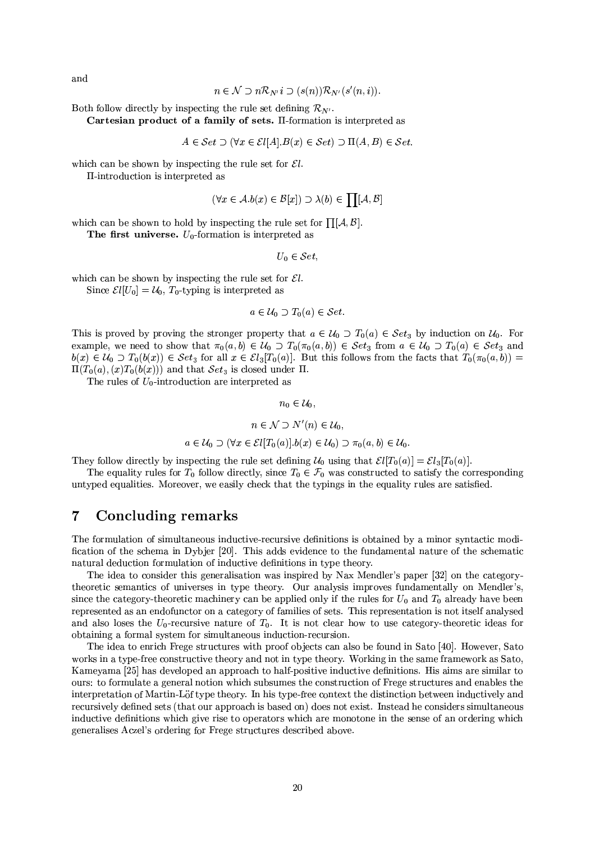and

$$
n \in \mathcal{N} \supset n\mathcal{R}_{N'}i \supset (s(n))\mathcal{R}_{N'}(s'(n,i)).
$$

Both follow directly by inspecting the rule set defining  $\mathcal{R}_{N'}$ .

Cartesian product of a family of sets. II-formation is interpreted as

$$
A \in \mathcal{S}et \supset (\forall x \in \mathcal{E}l[A].B(x) \in \mathcal{S}et) \supset \Pi(A, B) \in \mathcal{S}et.
$$

which can be shown by inspecting the rule set for  $\mathcal{E}l$ .

II-introduction is interpreted as

$$
(\forall x \in \mathcal{A}.b(x) \in \mathcal{B}[x]) \supset \lambda(b) \in \prod [\mathcal{A}, \mathcal{B}]
$$

which can be shown to hold by inspecting the rule set for  $\prod [A, B]$ .

The first universe.  $U_0$ -formation is interpreted as

 $U_0 \in \mathcal{S}et$ 

which can be shown by inspecting the rule set for  $\mathcal{E}l$ .

Since  $\mathcal{E}l[U_0] = \mathcal{U}_0$ ,  $T_0$ -typing is interpreted as

$$
a \in \mathcal{U}_0 \supset T_0(a) \in \mathcal{S}et.
$$

This is proved by proving the stronger property that  $a \in \mathcal{U}_0 \supset T_0(a) \in \mathcal{S}et_3$  by induction on  $\mathcal{U}_0$ . For example, we need to show that  $\pi_0(a, b) \in \mathcal{U}_0 \supset T_0(\pi_0(a, b)) \in \mathcal{S}et_3$  from  $a \in \mathcal{U}_0 \supset T_0(a) \in \mathcal{S}et_3$  and  $b(x) \in \mathcal{U}_0 \supset T_0(b(x)) \in \mathcal{S}et_3$  for all  $x \in \mathcal{E}l_3[T_0(a)]$ . But this follows from the facts that  $T_0(\pi_0(a, b)) =$  $\Pi(T_0(a), (x)T_0(b(x)))$  and that  $Set_3$  is closed under  $\Pi$ .

The rules of  $U_0$ -introduction are interpreted as

 $n_0 \in \mathcal{U}_0$ ,

$$
n\in\mathcal{N}\supset N'(n)\in\mathcal{U}_0,
$$

 $a \in \mathcal{U}_0 \supset (\forall x \in \mathcal{E}l[T_0(a)].b(x) \in \mathcal{U}_0) \supset \pi_0(a,b) \in \mathcal{U}_0.$ 

They follow directly by inspecting the rule set defining  $\mathcal{U}_0$  using that  $\mathcal{E}l[T_0(a)] = \mathcal{E}l_3[T_0(a)]$ .

The equality rules for  $T_0$  follow directly, since  $T_0 \in \mathcal{F}_0$  was constructed to satisfy the corresponding untyped equalities. Moreover, we easily check that the typings in the equality rules are satisfied.

#### $\overline{7}$ Concluding remarks

The formulation of simultaneous inductive-recursive definitions is obtained by a minor syntactic modification of the schema in Dybjer [20]. This adds evidence to the fundamental nature of the schematic natural deduction formulation of inductive definitions in type theory.

The idea to consider this generalisation was inspired by Nax Mendler's paper [32] on the categorytheoretic semantics of universes in type theory. Our analysis improves fundamentally on Mendler's, since the category-theoretic machinery can be applied only if the rules for  $U_0$  and  $T_0$  already have been represented as an endofunctor on a category of families of sets. This representation is not itself analysed and also loses the  $U_0$ -recursive nature of  $T_0$ . It is not clear how to use category-theoretic ideas for obtaining a formal system for simultaneous induction-recursion.

The idea to enrich Frege structures with proof objects can also be found in Sato [40]. However, Sato works in a type-free constructive theory and not in type theory. Working in the same framework as Sato, Kameyama [25] has developed an approach to half-positive inductive definitions. His aims are similar to ours: to formulate a general notion which subsumes the construction of Frege structures and enables the interpretation of Martin-Löf type theory. In his type-free context the distinction between inductively and recursively defined sets (that our approach is based on) does not exist. Instead he considers simultaneous inductive definitions which give rise to operators which are monotone in the sense of an ordering which generalises Aczel's ordering for Frege structures described above.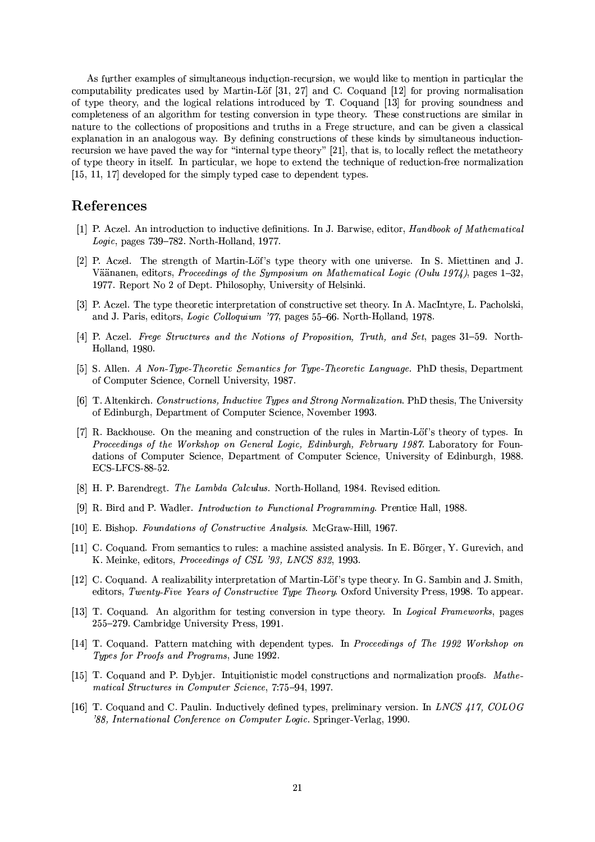As further examples of simultaneous induction-recursion, we would like to mention in particular the computability predicates used by Martin-Löf [31, 27] and C. Coquand [12] for proving normalisation of type theory, and the logical relations introduced by T. Coquand [13] for proving soundness and completeness of an algorithm for testing conversion in type theory. These constructions are similar in nature to the collections of propositions and truths in a Frege structure, and can be given a classical explanation in an analogous way. By defining constructions of these kinds by simultaneous inductionrecursion we have paved the way for "internal type theory" [21], that is, to locally reflect the metatheory of type theory in itself. In particular, we hope to extend the technique of reduction-free normalization  $[15, 11, 17]$  developed for the simply typed case to dependent types.

## References

- [1] P. Aczel. An introduction to inductive definitions. In J. Barwise, editor, *Handbook of Mathematical* Logic, pages  $739-782$ . North-Holland, 1977.
- [2] P. Aczel. The strength of Martin-Löf's type theory with one universe. In S. Miettinen and J. Väänanen, editors, Proceedings of the Symposium on Mathematical Logic (Oulu 1974), pages 1–32, 1977. Report No 2 of Dept. Philosophy, University of Helsinki.
- [3] P. Aczel. The type theoretic interpretation of constructive set theory. In A. MacIntyre, L. Pacholski, and J. Paris, editors, Logic Colloquium '77, pages 55-66. North-Holland, 1978.
- [4] P. Aczel. Frege Structures and the Notions of Proposition, Truth, and Set, pages 31–59. North-Holland, 1980.
- [5] S. Allen. A Non-Type-Theoretic Semantics for Type-Theoretic Language. PhD thesis, Department of Computer Science, Cornell University, 1987.
- [6] T. Altenkirch. Constructions, Inductive Types and Strong Normalization. PhD thesis, The University of Edinburgh, Department of Computer Science, November 1993.
- [7] R. Backhouse. On the meaning and construction of the rules in Martin-Löf's theory of types. In Proceedings of the Workshop on General Logic, Edinburgh, February 1987. Laboratory for Foundations of Computer Science, Department of Computer Science, University of Edinburgh, 1988. ECS-LFCS-88-52.
- [8] H. P. Barendregt. The Lambda Calculus. North-Holland, 1984. Revised edition.
- [9] R. Bird and P. Wadler. *Introduction to Functional Programming*. Prentice Hall, 1988.
- [10] E. Bishop. Foundations of Constructive Analysis. McGraw-Hill, 1967.
- [11] C. Coquand. From semantics to rules: a machine assisted analysis. In E. Börger, Y. Gurevich, and K. Meinke, editors, Proceedings of CSL '93, LNCS 832, 1993.
- [12] C. Coquand. A realizability interpretation of Martin-Löf's type theory. In G. Sambin and J. Smith, editors, Twenty-Five Years of Constructive Type Theory. Oxford University Press, 1998. To appear.
- [13] T. Coquand. An algorithm for testing conversion in type theory. In Logical Frameworks, pages 255-279. Cambridge University Press, 1991.
- [14] T. Coquand. Pattern matching with dependent types. In Proceedings of The 1992 Workshop on Types for Proofs and Programs, June 1992.
- [15] T. Coquand and P. Dybjer. Intuitionistic model constructions and normalization proofs. Mathematical Structures in Computer Science, 7:75-94, 1997.
- [16] T. Coquand and C. Paulin. Inductively defined types, preliminary version. In LNCS 417, COLOG '88, International Conference on Computer Logic. Springer-Verlag, 1990.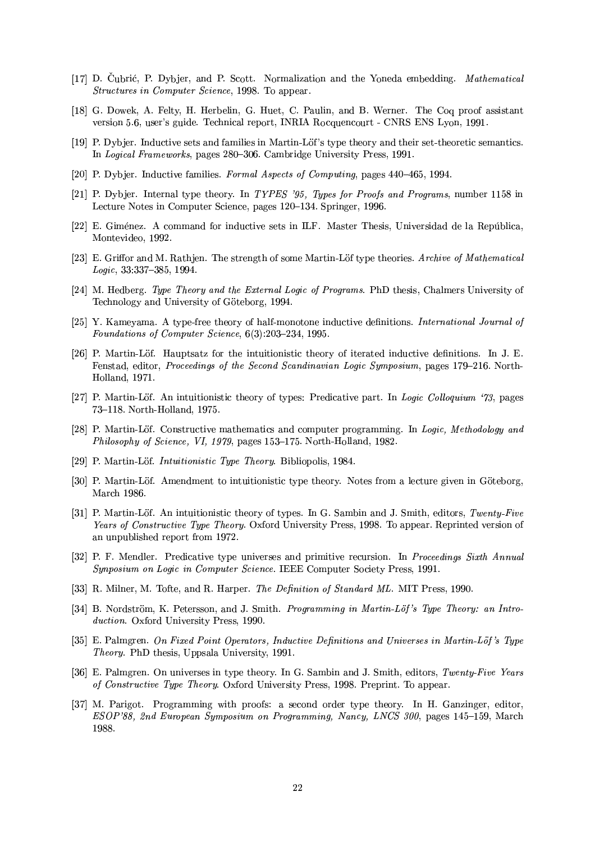- [17] D. Čubrić, P. Dybjer, and P. Scott. Normalization and the Yoneda embedding. Mathematical *Structures in Computer Science*, 1998. To appear.
- [18] G. Dowek, A. Felty, H. Herbelin, G. Huet, C. Paulin, and B. Werner. The Coq proof assistant version 5.6, user's guide. Technical report, INRIA Rocquencourt - CNRS ENS Lyon, 1991.
- [19] P. Dybjer. Inductive sets and families in Martin-Löf's type theory and their set-theoretic semantics. In Logical Frameworks, pages 280-306. Cambridge University Press, 1991.
- [20] P. Dybjer. Inductive families. Formal Aspects of Computing, pages 440–465, 1994.
- [21] P. Dybjer. Internal type theory. In TYPES '95, Types for Proofs and Programs, number 1158 in Lecture Notes in Computer Science, pages 120-134. Springer, 1996.
- [22] E. Giménez. A command for inductive sets in ILF. Master Thesis, Universidad de la República, Montevideo, 1992.
- [23] E. Griffor and M. Rathjen. The strength of some Martin-Löf type theories. Archive of Mathematical Logic, 33:337-385, 1994.
- [24] M. Hedberg. Type Theory and the External Logic of Programs. PhD thesis, Chalmers University of Technology and University of Göteborg, 1994.
- [25] Y. Kameyama. A type-free theory of half-monotone inductive definitions. International Journal of Foundations of Computer Science, 6(3):203-234, 1995.
- [26] P. Martin-Löf. Hauptsatz for the intuitionistic theory of iterated inductive definitions. In J. E. Fenstad, editor, Proceedings of the Second Scandinavian Logic Symposium, pages 179-216. North-Holland, 1971.
- [27] P. Martin-Löf. An intuitionistic theory of types: Predicative part. In Logic Colloquium '73, pages 73-118. North-Holland, 1975.
- [28] P. Martin-Löf. Constructive mathematics and computer programming. In Logic, Methodology and Philosophy of Science, VI, 1979, pages 153-175. North-Holland, 1982.
- [29] P. Martin-Löf. *Intuitionistic Type Theory*. Bibliopolis, 1984.
- [30] P. Martin-Löf. Amendment to intuitionistic type theory. Notes from a lecture given in Göteborg, March 1986.
- [31] P. Martin-Löf. An intuitionistic theory of types. In G. Sambin and J. Smith, editors, Twenty-Five Years of Constructive Type Theory. Oxford University Press, 1998. To appear. Reprinted version of an unpublished report from 1972.
- [32] P. F. Mendler. Predicative type universes and primitive recursion. In Proceedings Sixth Annual Synposium on Logic in Computer Science. IEEE Computer Society Press, 1991.
- [33] R. Milner, M. Tofte, and R. Harper. The Definition of Standard ML. MIT Press, 1990.
- [34] B. Nordström, K. Petersson, and J. Smith. Programming in Martin-Löf's Type Theory: an Introduction. Oxford University Press, 1990.
- [35] E. Palmgren. On Fixed Point Operators, Inductive Definitions and Universes in Martin-Löf's Type *Theory*. PhD thesis, Uppsala University, 1991.
- [36] E. Palmgren. On universes in type theory. In G. Sambin and J. Smith, editors, Twenty-Five Years of Constructive Type Theory. Oxford University Press, 1998. Preprint. To appear.
- [37] M. Parigot. Programming with proofs: a second order type theory. In H. Ganzinger, editor, ESOP'88, 2nd European Symposium on Programming, Nancy, LNCS 300, pages 145-159, March 1988.